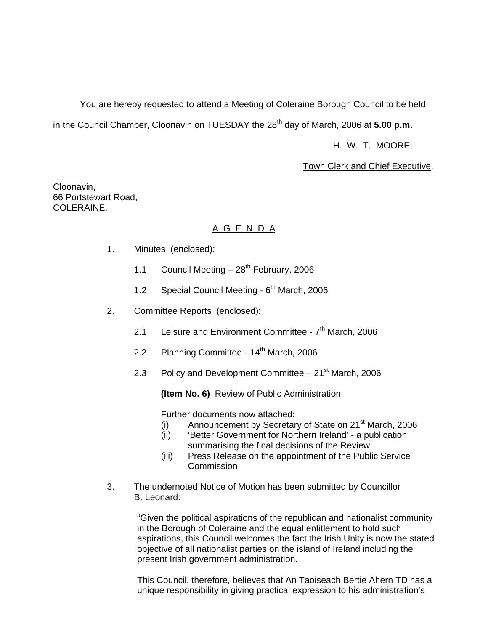You are hereby requested to attend a Meeting of Coleraine Borough Council to be held in the Council Chamber, Cloonavin on TUESDAY the 28<sup>th</sup> day of March, 2006 at **5.00 p.m.** 

H. W. T. MOORE,

# Town Clerk and Chief Executive.

Cloonavin, 66 Portstewart Road, COLERAINE.

# A G E N D A

- 1. Minutes (enclosed):
	- 1.1 Council Meeting  $-28^{th}$  February, 2006
	- 1.2 Special Council Meeting 6<sup>th</sup> March, 2006
- 2. Committee Reports (enclosed):
	- 2.1 Leisure and Environment Committee  $7<sup>th</sup>$  March, 2006
	- 2.2 Planning Committee 14<sup>th</sup> March, 2006
	- 2.3 Policy and Development Committee  $-21<sup>st</sup>$  March, 2006

**(Item No. 6)** Review of Public Administration

Further documents now attached:

- (i) Announcement by Secretary of State on  $21<sup>st</sup>$  March, 2006
- (ii) 'Better Government for Northern Ireland' a publication summarising the final decisions of the Review
- (iii) Press Release on the appointment of the Public Service **Commission**
- 3. The undernoted Notice of Motion has been submitted by Councillor B. Leonard:

"Given the political aspirations of the republican and nationalist community in the Borough of Coleraine and the equal entitlement to hold such aspirations, this Council welcomes the fact the Irish Unity is now the stated objective of all nationalist parties on the island of Ireland including the present Irish government administration.

This Council, therefore, believes that An Taoiseach Bertie Ahern TD has a unique responsibility in giving practical expression to his administration's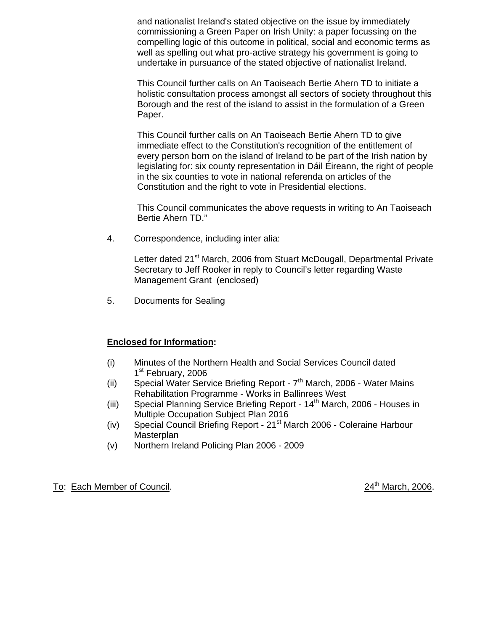and nationalist Ireland's stated objective on the issue by immediately commissioning a Green Paper on Irish Unity: a paper focussing on the compelling logic of this outcome in political, social and economic terms as well as spelling out what pro-active strategy his government is going to undertake in pursuance of the stated objective of nationalist Ireland.

This Council further calls on An Taoiseach Bertie Ahern TD to initiate a holistic consultation process amongst all sectors of society throughout this Borough and the rest of the island to assist in the formulation of a Green Paper.

This Council further calls on An Taoiseach Bertie Ahern TD to give immediate effect to the Constitution's recognition of the entitlement of every person born on the island of Ireland to be part of the Irish nation by legislating for: six county representation in Dáil Éireann, the right of people in the six counties to vote in national referenda on articles of the Constitution and the right to vote in Presidential elections.

This Council communicates the above requests in writing to An Taoiseach Bertie Ahern TD."

4. Correspondence, including inter alia:

Letter dated 21<sup>st</sup> March, 2006 from Stuart McDougall, Departmental Private Secretary to Jeff Rooker in reply to Council's letter regarding Waste Management Grant (enclosed)

5. Documents for Sealing

# **Enclosed for Information:**

- (i) Minutes of the Northern Health and Social Services Council dated 1<sup>st</sup> February, 2006
- (ii) Special Water Service Briefing Report  $7<sup>th</sup>$  March, 2006 Water Mains Rehabilitation Programme - Works in Ballinrees West
- (iii) Special Planning Service Briefing Report 14<sup>th</sup> March, 2006 Houses in Multiple Occupation Subject Plan 2016
- (iv) Special Council Briefing Report 21st March 2006 Coleraine Harbour **Masterplan**
- (v) Northern Ireland Policing Plan 2006 2009

# To: Each Member of Council. 2006. 24<sup>th</sup> March, 2006.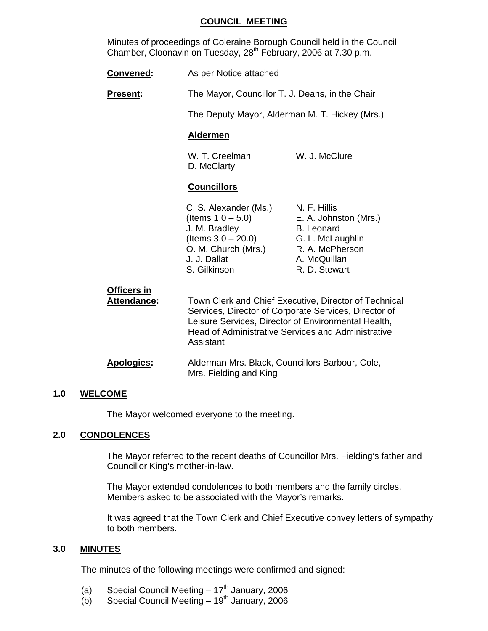#### **COUNCIL MEETING**

 Minutes of proceedings of Coleraine Borough Council held in the Council Chamber, Cloonavin on Tuesday, 28<sup>th</sup> February, 2006 at 7.30 p.m.

| <b>Convened:</b>                  | As per Notice attached                                                                                                                                                                                                                          |                                                                                                                                    |
|-----------------------------------|-------------------------------------------------------------------------------------------------------------------------------------------------------------------------------------------------------------------------------------------------|------------------------------------------------------------------------------------------------------------------------------------|
| <b>Present:</b>                   | The Mayor, Councillor T. J. Deans, in the Chair                                                                                                                                                                                                 |                                                                                                                                    |
|                                   | The Deputy Mayor, Alderman M. T. Hickey (Mrs.)                                                                                                                                                                                                  |                                                                                                                                    |
|                                   | <b>Aldermen</b>                                                                                                                                                                                                                                 |                                                                                                                                    |
|                                   | W. T. Creelman<br>D. McClarty                                                                                                                                                                                                                   | W. J. McClure                                                                                                                      |
|                                   | <b>Councillors</b>                                                                                                                                                                                                                              |                                                                                                                                    |
|                                   | C. S. Alexander (Ms.)<br>(Items $1.0 - 5.0$ )<br>J. M. Bradley<br>(Items $3.0 - 20.0$ )<br>O. M. Church (Mrs.)<br>J. J. Dallat<br>S. Gilkinson                                                                                                  | N. F. Hillis<br>E. A. Johnston (Mrs.)<br><b>B.</b> Leonard<br>G. L. McLaughlin<br>R. A. McPherson<br>A. McQuillan<br>R. D. Stewart |
| <b>Officers in</b><br>Attendance: | Town Clerk and Chief Executive, Director of Technical<br>Services, Director of Corporate Services, Director of<br>Leisure Services, Director of Environmental Health,<br><b>Head of Administrative Services and Administrative</b><br>Assistant |                                                                                                                                    |
| <b>Apologies:</b>                 | Alderman Mrs. Black, Councillors Barbour, Cole,<br>Mrs. Fielding and King                                                                                                                                                                       |                                                                                                                                    |

### **1.0 WELCOME**

The Mayor welcomed everyone to the meeting.

#### **2.0 CONDOLENCES**

 The Mayor referred to the recent deaths of Councillor Mrs. Fielding's father and Councillor King's mother-in-law.

The Mayor extended condolences to both members and the family circles. Members asked to be associated with the Mayor's remarks.

It was agreed that the Town Clerk and Chief Executive convey letters of sympathy to both members.

### **3.0 MINUTES**

The minutes of the following meetings were confirmed and signed:

- (a) Special Council Meeting  $-17<sup>th</sup>$  January, 2006
- $(b)$  Special Council Meeting 19<sup>th</sup> January, 2006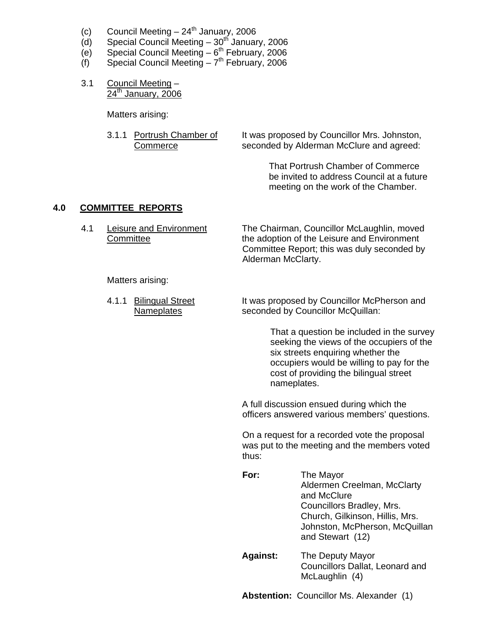- (c) Council Meeting  $-24^{\text{th}}$  January, 2006
- $\dot{d}$  Special Council Meeting 30<sup>th</sup> January, 2006
- $(e)$  Special Council Meeting  $6<sup>th</sup>$  February, 2006
- $(f)$  Special Council Meeting  $7<sup>th</sup>$  February, 2006
- 3.1 Council Meeting  $24<sup>th</sup>$  January, 2006

Matters arising:

3.1.1 Portrush Chamber of It was proposed by Councillor Mrs. Johnston, Commerce seconded by Alderman McClure and agreed:

> That Portrush Chamber of Commerce be invited to address Council at a future meeting on the work of the Chamber.

# **4.0 COMMITTEE REPORTS**

4.1 Leisure and Environment The Chairman, Councillor McLaughlin, moved Committee the adoption of the Leisure and Environment Committee Report; this was duly seconded by Alderman McClarty.

Matters arising:

4.1.1 Bilingual Street It was proposed by Councillor McPherson and Nameplates seconded by Councillor McQuillan:

> That a question be included in the survey seeking the views of the occupiers of the six streets enquiring whether the occupiers would be willing to pay for the cost of providing the bilingual street nameplates.

 A full discussion ensued during which the officers answered various members' questions.

On a request for a recorded vote the proposal was put to the meeting and the members voted thus:

- **For:** The Mayor Aldermen Creelman, McClarty and McClure Councillors Bradley, Mrs. Church, Gilkinson, Hillis, Mrs. Johnston, McPherson, McQuillan and Stewart (12)
- **Against:** The Deputy Mayor Councillors Dallat, Leonard and McLaughlin (4)

**Abstention:** Councillor Ms. Alexander (1)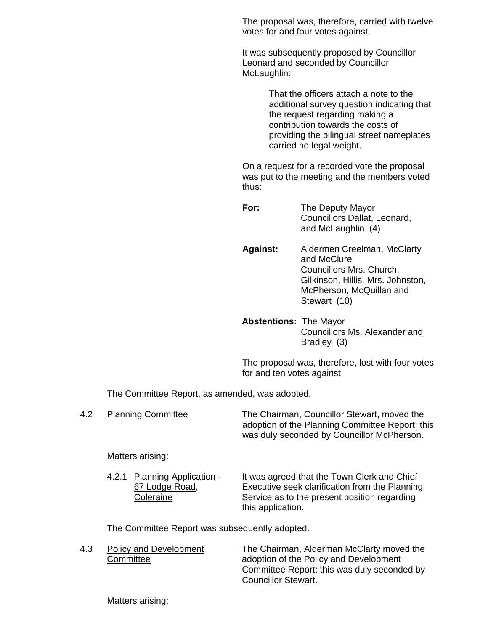The proposal was, therefore, carried with twelve votes for and four votes against.

It was subsequently proposed by Councillor Leonard and seconded by Councillor McLaughlin:

> That the officers attach a note to the additional survey question indicating that the request regarding making a contribution towards the costs of providing the bilingual street nameplates carried no legal weight.

On a request for a recorded vote the proposal was put to the meeting and the members voted thus:

| For:            | The Deputy Mayor<br>Councillors Dallat, Leonard,<br>and McLaughlin (4) |
|-----------------|------------------------------------------------------------------------|
| <b>Against:</b> | Aldermen Creelman, McClarty<br>and McClure                             |

 Councillors Mrs. Church, Gilkinson, Hillis, Mrs. Johnston, McPherson, McQuillan and Stewart (10)

 **Abstentions:** The Mayor Councillors Ms. Alexander and Bradley (3)

The proposal was, therefore, lost with four votes for and ten votes against.

The Committee Report, as amended, was adopted.

 4.2 Planning Committee The Chairman, Councillor Stewart, moved the adoption of the Planning Committee Report; this was duly seconded by Councillor McPherson.

Matters arising:

 4.2.1 Planning Application - It was agreed that the Town Clerk and Chief 67 Lodge Road, Executive seek clarification from the Planning Coleraine Service as to the present position regarding this application.

The Committee Report was subsequently adopted.

 4.3 Policy and Development The Chairman, Alderman McClarty moved the Committee adoption of the Policy and Development Committee Report; this was duly seconded by Councillor Stewart.

Matters arising: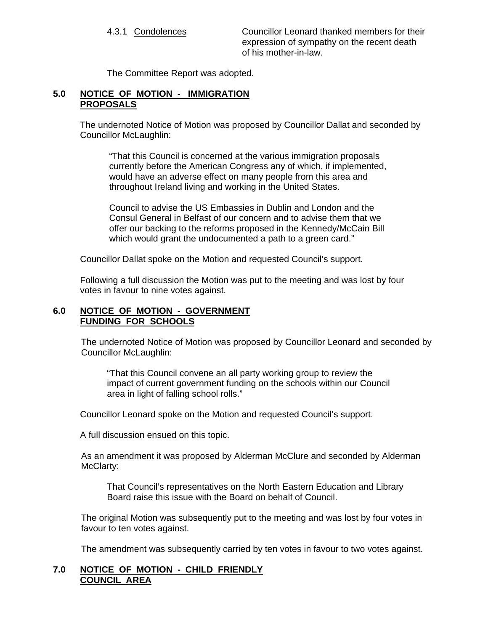4.3.1 Condolences Councillor Leonard thanked members for their expression of sympathy on the recent death of his mother-in-law.

The Committee Report was adopted.

#### **5.0 NOTICE OF MOTION - IMMIGRATION PROPOSALS**

 The undernoted Notice of Motion was proposed by Councillor Dallat and seconded by Councillor McLaughlin:

"That this Council is concerned at the various immigration proposals currently before the American Congress any of which, if implemented, would have an adverse effect on many people from this area and throughout Ireland living and working in the United States.

Council to advise the US Embassies in Dublin and London and the Consul General in Belfast of our concern and to advise them that we offer our backing to the reforms proposed in the Kennedy/McCain Bill which would grant the undocumented a path to a green card."

Councillor Dallat spoke on the Motion and requested Council's support.

 Following a full discussion the Motion was put to the meeting and was lost by four votes in favour to nine votes against.

### **6.0 NOTICE OF MOTION - GOVERNMENT FUNDING FOR SCHOOLS**

The undernoted Notice of Motion was proposed by Councillor Leonard and seconded by Councillor McLaughlin:

"That this Council convene an all party working group to review the impact of current government funding on the schools within our Council area in light of falling school rolls."

Councillor Leonard spoke on the Motion and requested Council's support.

A full discussion ensued on this topic.

As an amendment it was proposed by Alderman McClure and seconded by Alderman McClarty:

 That Council's representatives on the North Eastern Education and Library Board raise this issue with the Board on behalf of Council.

The original Motion was subsequently put to the meeting and was lost by four votes in favour to ten votes against.

The amendment was subsequently carried by ten votes in favour to two votes against.

### **7.0 NOTICE OF MOTION - CHILD FRIENDLY COUNCIL AREA**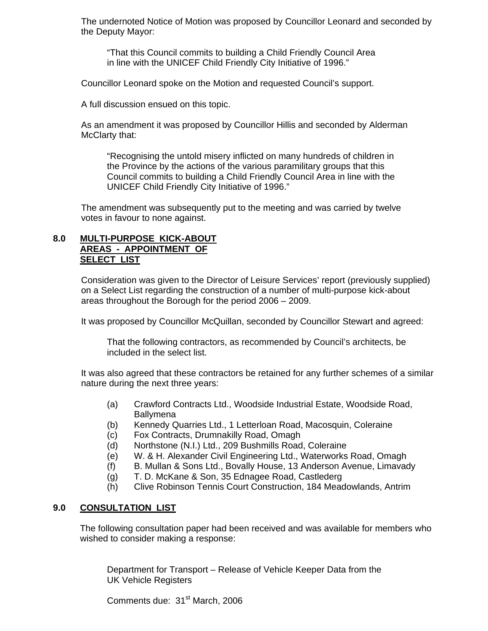The undernoted Notice of Motion was proposed by Councillor Leonard and seconded by the Deputy Mayor:

"That this Council commits to building a Child Friendly Council Area in line with the UNICEF Child Friendly City Initiative of 1996."

Councillor Leonard spoke on the Motion and requested Council's support.

A full discussion ensued on this topic.

As an amendment it was proposed by Councillor Hillis and seconded by Alderman McClarty that:

 "Recognising the untold misery inflicted on many hundreds of children in the Province by the actions of the various paramilitary groups that this Council commits to building a Child Friendly Council Area in line with the UNICEF Child Friendly City Initiative of 1996."

The amendment was subsequently put to the meeting and was carried by twelve votes in favour to none against.

#### **8.0 MULTI-PURPOSE KICK-ABOUT AREAS - APPOINTMENT OF SELECT LIST**

Consideration was given to the Director of Leisure Services' report (previously supplied) on a Select List regarding the construction of a number of multi-purpose kick-about areas throughout the Borough for the period 2006 – 2009.

It was proposed by Councillor McQuillan, seconded by Councillor Stewart and agreed:

 That the following contractors, as recommended by Council's architects, be included in the select list.

It was also agreed that these contractors be retained for any further schemes of a similar nature during the next three years:

- (a) Crawford Contracts Ltd., Woodside Industrial Estate, Woodside Road, Ballymena
- (b) Kennedy Quarries Ltd., 1 Letterloan Road, Macosquin, Coleraine
- (c) Fox Contracts, Drumnakilly Road, Omagh
- (d) Northstone (N.I.) Ltd., 209 Bushmills Road, Coleraine
- (e) W. & H. Alexander Civil Engineering Ltd., Waterworks Road, Omagh
- (f) B. Mullan & Sons Ltd., Bovally House, 13 Anderson Avenue, Limavady
- (g) T. D. McKane & Son, 35 Ednagee Road, Castlederg
- (h) Clive Robinson Tennis Court Construction, 184 Meadowlands, Antrim

### **9.0 CONSULTATION LIST**

 The following consultation paper had been received and was available for members who wished to consider making a response:

Department for Transport – Release of Vehicle Keeper Data from the UK Vehicle Registers

Comments due: 31<sup>st</sup> March, 2006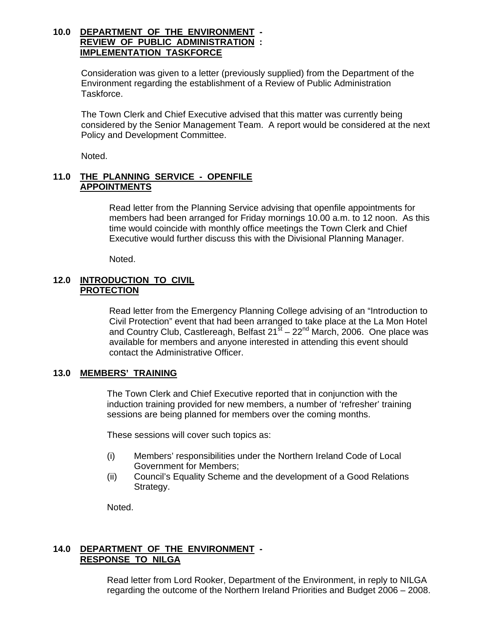#### **10.0 DEPARTMENT OF THE ENVIRONMENT - REVIEW OF PUBLIC ADMINISTRATION : IMPLEMENTATION TASKFORCE**

Consideration was given to a letter (previously supplied) from the Department of the Environment regarding the establishment of a Review of Public Administration Taskforce.

The Town Clerk and Chief Executive advised that this matter was currently being considered by the Senior Management Team. A report would be considered at the next Policy and Development Committee.

Noted.

# **11.0 THE PLANNING SERVICE - OPENFILE APPOINTMENTS**

Read letter from the Planning Service advising that openfile appointments for members had been arranged for Friday mornings 10.00 a.m. to 12 noon. As this time would coincide with monthly office meetings the Town Clerk and Chief Executive would further discuss this with the Divisional Planning Manager.

Noted.

#### **12.0 INTRODUCTION TO CIVIL PROTECTION**

Read letter from the Emergency Planning College advising of an "Introduction to Civil Protection" event that had been arranged to take place at the La Mon Hotel and Country Club, Castlereagh, Belfast  $21^{st}$  –  $22^{nd}$  March, 2006. One place was available for members and anyone interested in attending this event should contact the Administrative Officer.

# **13.0 MEMBERS' TRAINING**

 The Town Clerk and Chief Executive reported that in conjunction with the induction training provided for new members, a number of 'refresher' training sessions are being planned for members over the coming months.

These sessions will cover such topics as:

- (i) Members' responsibilities under the Northern Ireland Code of Local Government for Members;
- (ii) Council's Equality Scheme and the development of a Good Relations Strategy.

Noted.

# **14.0 DEPARTMENT OF THE ENVIRONMENT - RESPONSE TO NILGA**

 Read letter from Lord Rooker, Department of the Environment, in reply to NILGA regarding the outcome of the Northern Ireland Priorities and Budget 2006 – 2008.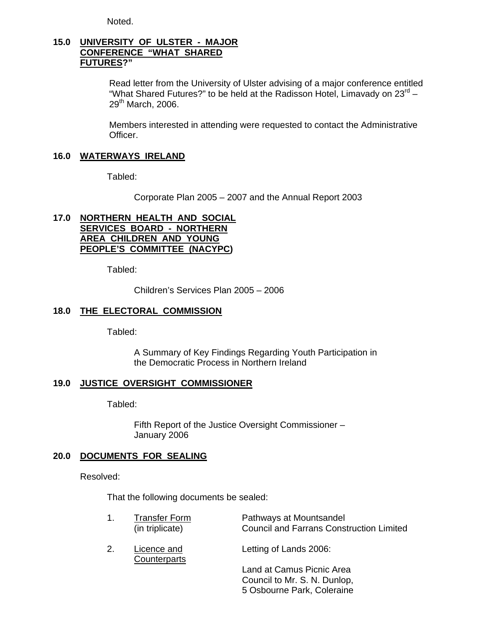Noted.

#### **15.0 UNIVERSITY OF ULSTER - MAJOR CONFERENCE "WHAT SHARED FUTURES?"**

Read letter from the University of Ulster advising of a major conference entitled "What Shared Futures?" to be held at the Radisson Hotel, Limavady on  $23<sup>rd</sup>$  –  $29<sup>th</sup>$  March, 2006.

Members interested in attending were requested to contact the Administrative Officer.

#### **16.0 WATERWAYS IRELAND**

Tabled:

Corporate Plan 2005 – 2007 and the Annual Report 2003

#### **17.0 NORTHERN HEALTH AND SOCIAL SERVICES BOARD - NORTHERN AREA CHILDREN AND YOUNG PEOPLE'S COMMITTEE (NACYPC)**

Tabled:

Children's Services Plan 2005 – 2006

# **18.0 THE ELECTORAL COMMISSION**

Tabled:

 A Summary of Key Findings Regarding Youth Participation in the Democratic Process in Northern Ireland

### **19.0 JUSTICE OVERSIGHT COMMISSIONER**

Tabled:

 Fifth Report of the Justice Oversight Commissioner – January 2006

### **20.0 DOCUMENTS FOR SEALING**

Resolved:

That the following documents be sealed:

|    | <b>Transfer Form</b><br>(in triplicate) | Pathways at Mountsandel<br><b>Council and Farrans Construction Limited</b> |
|----|-----------------------------------------|----------------------------------------------------------------------------|
| 2. | Licence and<br>Counterparts             | Letting of Lands 2006:                                                     |
|    |                                         | Land at Camus Picnic Area<br>Council to Mr. C. N. Dunlon                   |

 Council to Mr. S. N. Dunlop, 5 Osbourne Park, Coleraine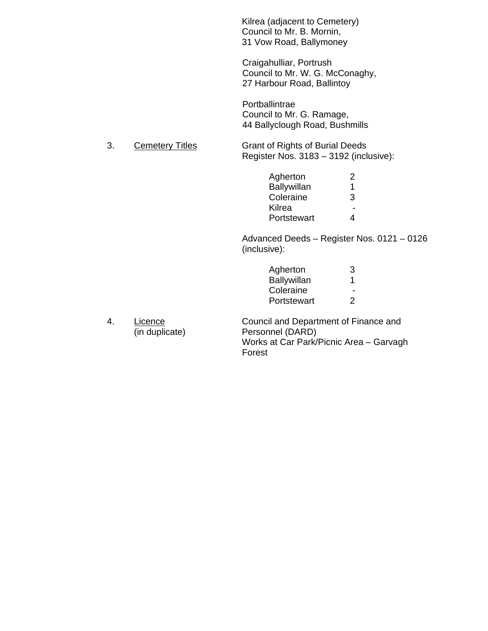Kilrea (adjacent to Cemetery) Council to Mr. B. Mornin, 31 Vow Road, Ballymoney

Craigahulliar, Portrush Council to Mr. W. G. McConaghy, 27 Harbour Road, Ballintoy

Portballintrae Council to Mr. G. Ramage, 44 Ballyclough Road, Bushmills

3. Cemetery Titles Grant of Rights of Burial Deeds

Register Nos. 3183 – 3192 (inclusive):

| Agherton    | $\mathcal{P}$  |
|-------------|----------------|
| Ballywillan | 1              |
| Coleraine   | 3              |
| Kilrea      | $\blacksquare$ |
| Portstewart | 4              |
|             |                |

 Advanced Deeds – Register Nos. 0121 – 0126 (inclusive):

| Agherton           | ⌒      |
|--------------------|--------|
| <b>Ballywillan</b> |        |
| Coleraine          | $\sim$ |
| Portstewart        |        |

4. Licence Council and Department of Finance and (in duplicate) Personnel (DARD) Works at Car Park/Picnic Area – Garvagh Forest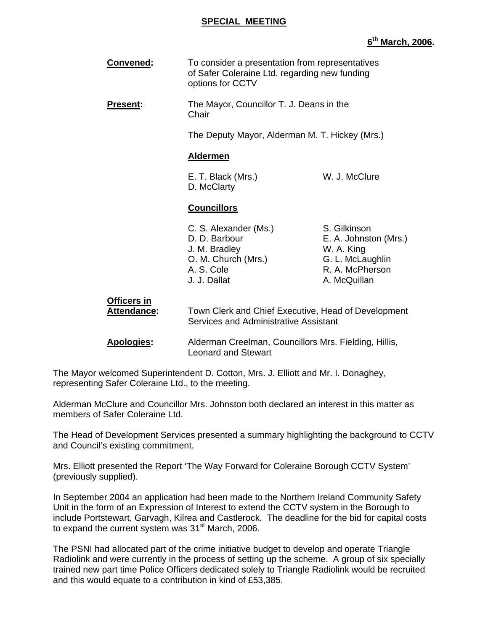#### **SPECIAL MEETING**

# **6th March, 2006.**

| <b>Convened:</b>                  | To consider a presentation from representatives<br>of Safer Coleraine Ltd. regarding new funding<br>options for CCTV |                                                                                                            |
|-----------------------------------|----------------------------------------------------------------------------------------------------------------------|------------------------------------------------------------------------------------------------------------|
| <b>Present:</b>                   | The Mayor, Councillor T. J. Deans in the<br>Chair                                                                    |                                                                                                            |
|                                   | The Deputy Mayor, Alderman M. T. Hickey (Mrs.)                                                                       |                                                                                                            |
|                                   | <b>Aldermen</b>                                                                                                      |                                                                                                            |
|                                   | E. T. Black (Mrs.)<br>D. McClarty                                                                                    | W. J. McClure                                                                                              |
|                                   | <b>Councillors</b>                                                                                                   |                                                                                                            |
|                                   | C. S. Alexander (Ms.)<br>D. D. Barbour<br>J. M. Bradley<br>O. M. Church (Mrs.)<br>A. S. Cole<br>J. J. Dallat         | S. Gilkinson<br>E. A. Johnston (Mrs.)<br>W. A. King<br>G. L. McLaughlin<br>R. A. McPherson<br>A. McQuillan |
| <b>Officers in</b><br>Attendance: | Town Clerk and Chief Executive, Head of Development<br>Services and Administrative Assistant                         |                                                                                                            |
| <b>Apologies:</b>                 | Alderman Creelman, Councillors Mrs. Fielding, Hillis,<br><b>Leonard and Stewart</b>                                  |                                                                                                            |

The Mayor welcomed Superintendent D. Cotton, Mrs. J. Elliott and Mr. I. Donaghey, representing Safer Coleraine Ltd., to the meeting.

Alderman McClure and Councillor Mrs. Johnston both declared an interest in this matter as members of Safer Coleraine Ltd.

The Head of Development Services presented a summary highlighting the background to CCTV and Council's existing commitment.

Mrs. Elliott presented the Report 'The Way Forward for Coleraine Borough CCTV System' (previously supplied).

In September 2004 an application had been made to the Northern Ireland Community Safety Unit in the form of an Expression of Interest to extend the CCTV system in the Borough to include Portstewart, Garvagh, Kilrea and Castlerock. The deadline for the bid for capital costs to expand the current system was 31<sup>st</sup> March, 2006.

The PSNI had allocated part of the crime initiative budget to develop and operate Triangle Radiolink and were currently in the process of setting up the scheme. A group of six specially trained new part time Police Officers dedicated solely to Triangle Radiolink would be recruited and this would equate to a contribution in kind of £53,385.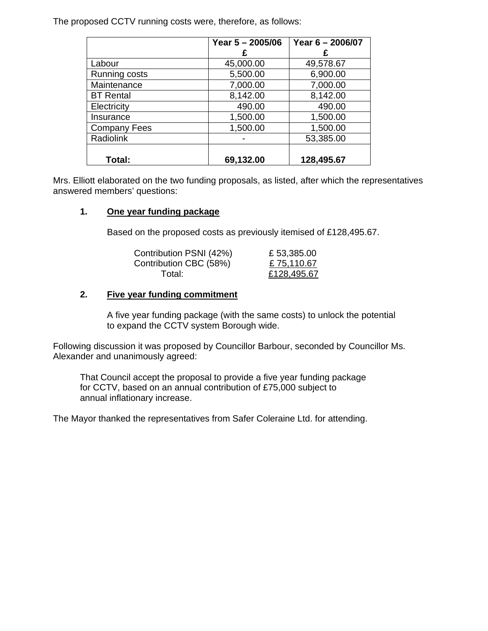The proposed CCTV running costs were, therefore, as follows:

|                     | Year $5 - 2005/06$ | Year 6 - 2006/07 |
|---------------------|--------------------|------------------|
|                     | F                  |                  |
| Labour              | 45,000.00          | 49,578.67        |
| Running costs       | 5,500.00           | 6,900.00         |
| Maintenance         | 7,000.00           | 7,000.00         |
| <b>BT</b> Rental    | 8,142.00           | 8,142.00         |
| Electricity         | 490.00             | 490.00           |
| Insurance           | 1,500.00           | 1,500.00         |
| <b>Company Fees</b> | 1,500.00           | 1,500.00         |
| Radiolink           |                    | 53,385.00        |
|                     |                    |                  |
| Total:              | 69,132.00          | 128,495.67       |

Mrs. Elliott elaborated on the two funding proposals, as listed, after which the representatives answered members' questions:

# **1. One year funding package**

Based on the proposed costs as previously itemised of £128,495.67.

| Contribution PSNI (42%) | £53,385.00  |
|-------------------------|-------------|
| Contribution CBC (58%)  | £ 75,110.67 |
| Total:                  | £128,495.67 |

# **2. Five year funding commitment**

 A five year funding package (with the same costs) to unlock the potential to expand the CCTV system Borough wide.

Following discussion it was proposed by Councillor Barbour, seconded by Councillor Ms. Alexander and unanimously agreed:

 That Council accept the proposal to provide a five year funding package for CCTV, based on an annual contribution of £75,000 subject to annual inflationary increase.

The Mayor thanked the representatives from Safer Coleraine Ltd. for attending.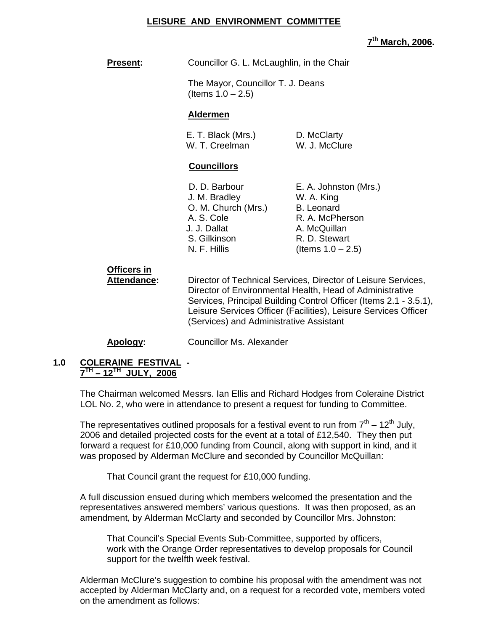# **LEISURE AND ENVIRONMENT COMMITTEE**

**7th March, 2006.** 

**Present:** Councillor G. L. McLaughlin, in the Chair

 The Mayor, Councillor T. J. Deans (Items  $1.0 - 2.5$ )

#### **Aldermen**

E. T. Black (Mrs.) D. McClarty W. T. Creelman W. J. McClure

### **Councillors**

| D. D. Barbour       | E. A. Johnston (Mrs.) |
|---------------------|-----------------------|
| J. M. Bradley       | W. A. King            |
| O. M. Church (Mrs.) | <b>B.</b> Leonard     |
| A. S. Cole          | R. A. McPherson       |
| J. J. Dallat        | A. McQuillan          |
| S. Gilkinson        | R. D. Stewart         |
| N. F. Hillis        | (Items $1.0 - 2.5$ )  |
|                     |                       |

 **Officers in Attendance:** Director of Technical Services, Director of Leisure Services, Director of Environmental Health, Head of Administrative Services, Principal Building Control Officer (Items 2.1 - 3.5.1), Leisure Services Officer (Facilities), Leisure Services Officer (Services) and Administrative Assistant

#### **Apology:** Councillor Ms. Alexander

### **1.0 COLERAINE FESTIVAL - 7TH – 12TH JULY, 2006**

 The Chairman welcomed Messrs. Ian Ellis and Richard Hodges from Coleraine District LOL No. 2, who were in attendance to present a request for funding to Committee.

The representatives outlined proposals for a festival event to run from  $7<sup>th</sup> - 12<sup>th</sup>$  July, 2006 and detailed projected costs for the event at a total of £12,540. They then put forward a request for £10,000 funding from Council, along with support in kind, and it was proposed by Alderman McClure and seconded by Councillor McQuillan:

That Council grant the request for £10,000 funding.

A full discussion ensued during which members welcomed the presentation and the representatives answered members' various questions. It was then proposed, as an amendment, by Alderman McClarty and seconded by Councillor Mrs. Johnston:

That Council's Special Events Sub-Committee, supported by officers, work with the Orange Order representatives to develop proposals for Council support for the twelfth week festival.

 Alderman McClure's suggestion to combine his proposal with the amendment was not accepted by Alderman McClarty and, on a request for a recorded vote, members voted on the amendment as follows: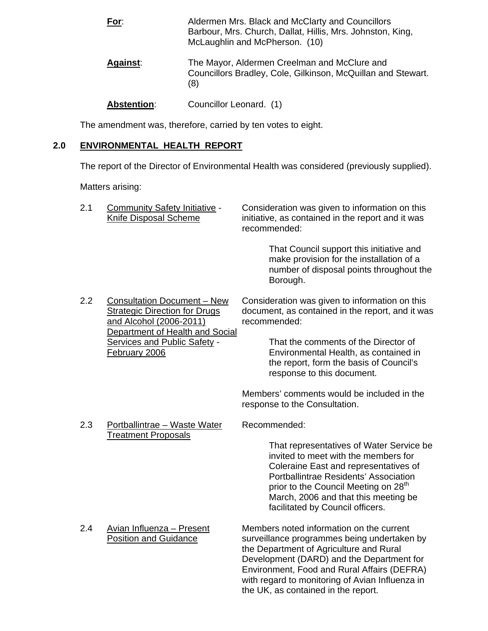| For:     | Aldermen Mrs. Black and McClarty and Councillors<br>Barbour, Mrs. Church, Dallat, Hillis, Mrs. Johnston, King,<br>McLaughlin and McPherson. (10) |
|----------|--------------------------------------------------------------------------------------------------------------------------------------------------|
| Against: | The Mayor, Aldermen Creelman and McClure and<br>Councillors Bradley, Cole, Gilkinson, McQuillan and Stewart.<br>(8)                              |

Abstention: Councillor Leonard. (1)

The amendment was, therefore, carried by ten votes to eight.

# **2.0 ENVIRONMENTAL HEALTH REPORT**

The report of the Director of Environmental Health was considered (previously supplied).

Matters arising:

| 2.1 | Community Safety Initiative -<br>Knife Disposal Scheme                                                                                   | Consideration was given to information on this<br>initiative, as contained in the report and it was<br>recommended:                                                                                                                                                                                |
|-----|------------------------------------------------------------------------------------------------------------------------------------------|----------------------------------------------------------------------------------------------------------------------------------------------------------------------------------------------------------------------------------------------------------------------------------------------------|
|     |                                                                                                                                          | That Council support this initiative and<br>make provision for the installation of a<br>number of disposal points throughout the<br>Borough.                                                                                                                                                       |
| 2.2 | <b>Consultation Document - New</b><br><b>Strategic Direction for Drugs</b><br>and Alcohol (2006-2011)<br>Department of Health and Social | Consideration was given to information on this<br>document, as contained in the report, and it was<br>recommended:                                                                                                                                                                                 |
|     | <b>Services and Public Safety -</b><br>February 2006                                                                                     | That the comments of the Director of<br>Environmental Health, as contained in<br>the report, form the basis of Council's<br>response to this document.                                                                                                                                             |
|     |                                                                                                                                          | Members' comments would be included in the<br>response to the Consultation.                                                                                                                                                                                                                        |
| 2.3 | Portballintrae - Waste Water<br><b>Treatment Proposals</b>                                                                               | Recommended:                                                                                                                                                                                                                                                                                       |
|     |                                                                                                                                          | That representatives of Water Service be<br>invited to meet with the members for<br>Coleraine East and representatives of<br>Portballintrae Residents' Association<br>prior to the Council Meeting on 28 <sup>th</sup><br>March, 2006 and that this meeting be<br>facilitated by Council officers. |
| 2.4 | Avian Influenza - Present<br><b>Position and Guidance</b>                                                                                | Members noted information on the current<br>surveillance programmes being undertaken by<br>the Department of Agriculture and Rural<br>Development (DARD) and the Department for<br>Environment, Food and Rural Affairs (DEFRA)<br>with regard to monitoring of Avian Influenza in                  |

the UK, as contained in the report.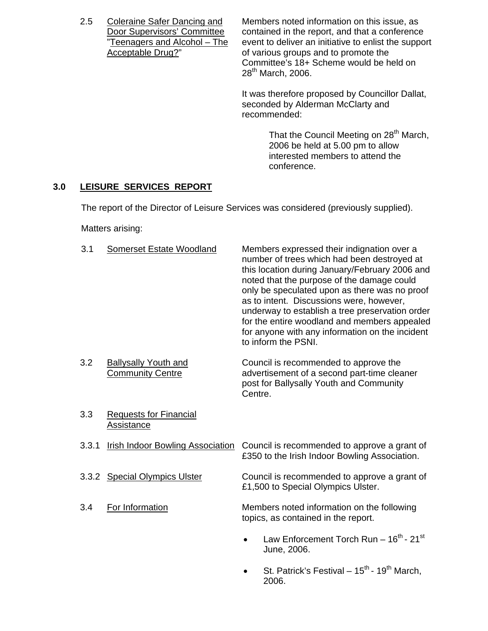2.5 Coleraine Safer Dancing and Members noted information on this issue, as<br>Door Supervisors' Committee contained in the report, and that a conference Door Supervisors' Committee contained in the report, and that a conference<br>"Teenagers and Alcohol – The event to deliver an initiative to enlist the suppo event to deliver an initiative to enlist the support Acceptable Drug?" of various groups and to promote the Committee's 18+ Scheme would be held on  $28<sup>th</sup>$  March, 2006.

> It was therefore proposed by Councillor Dallat, seconded by Alderman McClarty and recommended:

> > That the Council Meeting on 28<sup>th</sup> March, 2006 be held at 5.00 pm to allow interested members to attend the conference.

# **3.0 LEISURE SERVICES REPORT**

The report of the Director of Leisure Services was considered (previously supplied).

Matters arising:

| 3.1   | Somerset Estate Woodland                               | Members expressed their indignation over a<br>number of trees which had been destroyed at<br>this location during January/February 2006 and<br>noted that the purpose of the damage could<br>only be speculated upon as there was no proof<br>as to intent. Discussions were, however,<br>underway to establish a tree preservation order<br>for the entire woodland and members appealed<br>for anyone with any information on the incident<br>to inform the PSNI. |
|-------|--------------------------------------------------------|---------------------------------------------------------------------------------------------------------------------------------------------------------------------------------------------------------------------------------------------------------------------------------------------------------------------------------------------------------------------------------------------------------------------------------------------------------------------|
| 3.2   | <b>Ballysally Youth and</b><br><b>Community Centre</b> | Council is recommended to approve the<br>advertisement of a second part-time cleaner<br>post for Ballysally Youth and Community<br>Centre.                                                                                                                                                                                                                                                                                                                          |
| 3.3   | <b>Requests for Financial</b><br><b>Assistance</b>     |                                                                                                                                                                                                                                                                                                                                                                                                                                                                     |
| 3.3.1 | <b>Irish Indoor Bowling Association</b>                | Council is recommended to approve a grant of<br>£350 to the Irish Indoor Bowling Association.                                                                                                                                                                                                                                                                                                                                                                       |
|       | 3.3.2 Special Olympics Ulster                          | Council is recommended to approve a grant of<br>£1,500 to Special Olympics Ulster.                                                                                                                                                                                                                                                                                                                                                                                  |
| 3.4   | For Information                                        | Members noted information on the following<br>topics, as contained in the report.                                                                                                                                                                                                                                                                                                                                                                                   |
|       |                                                        | Law Enforcement Torch Run $-16^{th}$ - 21 <sup>st</sup><br>June, 2006.                                                                                                                                                                                                                                                                                                                                                                                              |
|       |                                                        | St. Patrick's Festival – $15^{th}$ - $19^{th}$ March,<br>2006.                                                                                                                                                                                                                                                                                                                                                                                                      |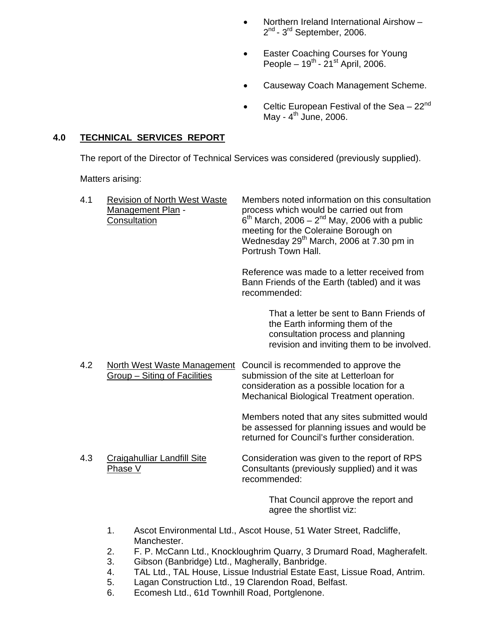- Northern Ireland International Airshow 2<sup>nd</sup> - 3<sup>rd</sup> September, 2006.
- Easter Coaching Courses for Young People –  $19^{th}$  -  $21^{st}$  April, 2006.
- Causeway Coach Management Scheme.
- Celtic European Festival of the Sea  $-22<sup>nd</sup>$ May -  $4^{\text{th}}$  June, 2006.

# **4.0 TECHNICAL SERVICES REPORT**

The report of the Director of Technical Services was considered (previously supplied).

Matters arising:

| 4.1 |          | <b>Revision of North West Waste</b><br>Management Plan -<br>Consultation | Members noted information on this consultation<br>process which would be carried out from<br>$6th$ March, 2006 – 2 <sup>nd</sup> May, 2006 with a public<br>meeting for the Coleraine Borough on<br>Wednesday 29 <sup>th</sup> March, 2006 at 7.30 pm in<br>Portrush Town Hall. |
|-----|----------|--------------------------------------------------------------------------|---------------------------------------------------------------------------------------------------------------------------------------------------------------------------------------------------------------------------------------------------------------------------------|
|     |          |                                                                          | Reference was made to a letter received from<br>Bann Friends of the Earth (tabled) and it was<br>recommended:                                                                                                                                                                   |
|     |          |                                                                          | That a letter be sent to Bann Friends of<br>the Earth informing them of the<br>consultation process and planning<br>revision and inviting them to be involved.                                                                                                                  |
| 4.2 |          | <b>North West Waste Management</b><br>Group - Siting of Facilities       | Council is recommended to approve the<br>submission of the site at Letterloan for<br>consideration as a possible location for a<br>Mechanical Biological Treatment operation.                                                                                                   |
|     |          |                                                                          | Members noted that any sites submitted would<br>be assessed for planning issues and would be<br>returned for Council's further consideration.                                                                                                                                   |
| 4.3 | Phase V  | Craigahulliar Landfill Site                                              | Consideration was given to the report of RPS<br>Consultants (previously supplied) and it was<br>recommended:                                                                                                                                                                    |
|     |          |                                                                          | That Council approve the report and<br>agree the shortlist viz:                                                                                                                                                                                                                 |
|     | 1.       | Manchester.                                                              | Ascot Environmental Ltd., Ascot House, 51 Water Street, Radcliffe,                                                                                                                                                                                                              |
|     | 2.<br>3. | Gibson (Banbridge) Ltd., Magherally, Banbridge.                          | F. P. McCann Ltd., Knockloughrim Quarry, 3 Drumard Road, Magherafelt.                                                                                                                                                                                                           |

- 4. TAL Ltd., TAL House, Lissue Industrial Estate East, Lissue Road, Antrim.
- 5. Lagan Construction Ltd., 19 Clarendon Road, Belfast.
- 6. Ecomesh Ltd., 61d Townhill Road, Portglenone.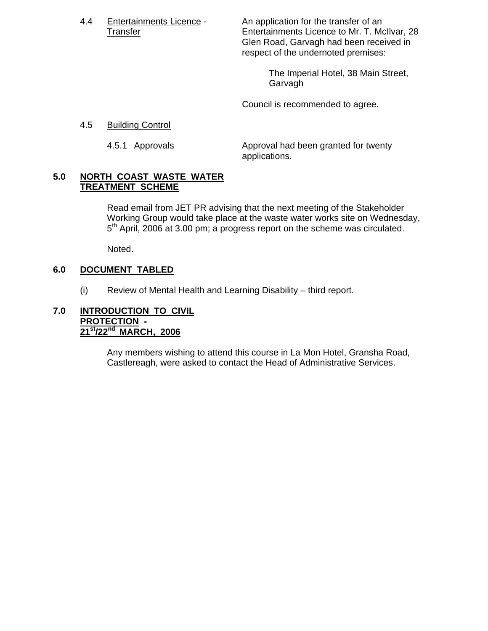4.4 Entertainments Licence - An application for the transfer of an Transfer Entertainments Licence to Mr. T. McIlvar, 28 Glen Road, Garvagh had been received in respect of the undernoted premises:

> The Imperial Hotel, 38 Main Street, Garvagh

Council is recommended to agree.

### 4.5 Building Control

4.5.1 Approvals Approval had been granted for twenty applications.

## **5.0 NORTH COAST WASTE WATER TREATMENT SCHEME**

 Read email from JET PR advising that the next meeting of the Stakeholder Working Group would take place at the waste water works site on Wednesday,  $5<sup>th</sup>$  April, 2006 at 3.00 pm; a progress report on the scheme was circulated.

Noted.

# **6.0 DOCUMENT TABLED**

(i) Review of Mental Health and Learning Disability – third report.

#### **7.0 INTRODUCTION TO CIVIL PROTECTION - 21st/22nd MARCH, 2006**

 Any members wishing to attend this course in La Mon Hotel, Gransha Road, Castlereagh, were asked to contact the Head of Administrative Services.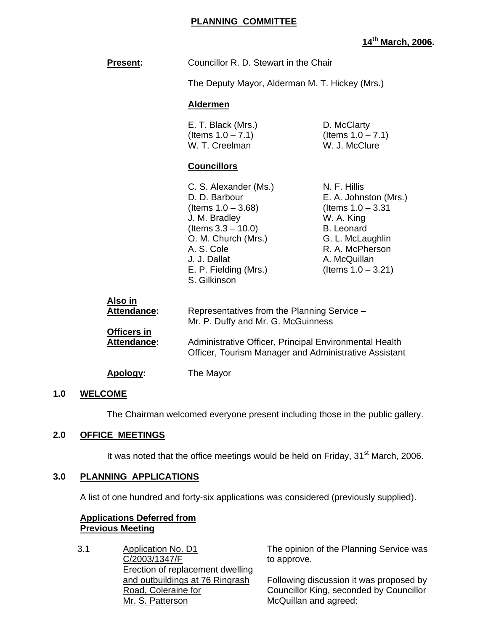### **PLANNING COMMITTEE**

# **14th March, 2006.**

| Present:                                            | Councillor R. D. Stewart in the Chair<br>The Deputy Mayor, Alderman M. T. Hickey (Mrs.)                                                                                                                 |                                                                                                                                                                                 |  |
|-----------------------------------------------------|---------------------------------------------------------------------------------------------------------------------------------------------------------------------------------------------------------|---------------------------------------------------------------------------------------------------------------------------------------------------------------------------------|--|
|                                                     |                                                                                                                                                                                                         |                                                                                                                                                                                 |  |
|                                                     | <b>Aldermen</b>                                                                                                                                                                                         |                                                                                                                                                                                 |  |
|                                                     | E. T. Black (Mrs.)<br>(Items $1.0 - 7.1$ )<br>W. T. Creelman                                                                                                                                            | D. McClarty<br>(Items $1.0 - 7.1$ )<br>W. J. McClure                                                                                                                            |  |
|                                                     | <b>Councillors</b>                                                                                                                                                                                      |                                                                                                                                                                                 |  |
|                                                     | C. S. Alexander (Ms.)<br>D. D. Barbour<br>(Items $1.0 - 3.68$ )<br>J. M. Bradley<br>(Items $3.3 - 10.0$ )<br>O. M. Church (Mrs.)<br>A. S. Cole<br>J. J. Dallat<br>E. P. Fielding (Mrs.)<br>S. Gilkinson | N. F. Hillis<br>E. A. Johnston (Mrs.)<br>(Items $1.0 - 3.31$<br>W. A. King<br><b>B.</b> Leonard<br>G. L. McLaughlin<br>R. A. McPherson<br>A. McQuillan<br>(Items $1.0 - 3.21$ ) |  |
| <u>Also in</u><br><b>Attendance:</b><br>Officers in |                                                                                                                                                                                                         | Representatives from the Planning Service -<br>Mr. P. Duffy and Mr. G. McGuinness                                                                                               |  |
| <b>Attendance:</b>                                  | Administrative Officer, Principal Environmental Health<br>Officer, Tourism Manager and Administrative Assistant                                                                                         |                                                                                                                                                                                 |  |
| Apology:                                            | The Mayor                                                                                                                                                                                               |                                                                                                                                                                                 |  |

#### **1.0 WELCOME**

The Chairman welcomed everyone present including those in the public gallery.

# **2.0 OFFICE MEETINGS**

It was noted that the office meetings would be held on Friday,  $31<sup>st</sup>$  March, 2006.

### **3.0 PLANNING APPLICATIONS**

A list of one hundred and forty-six applications was considered (previously supplied).

#### **Applications Deferred from Previous Meeting**

3.1 Application No. D1 C/2003/1347/F Erection of replacement dwelling and outbuildings at 76 Ringrash Road, Coleraine for Mr. S. Patterson

The opinion of the Planning Service was to approve.

Following discussion it was proposed by Councillor King, seconded by Councillor McQuillan and agreed: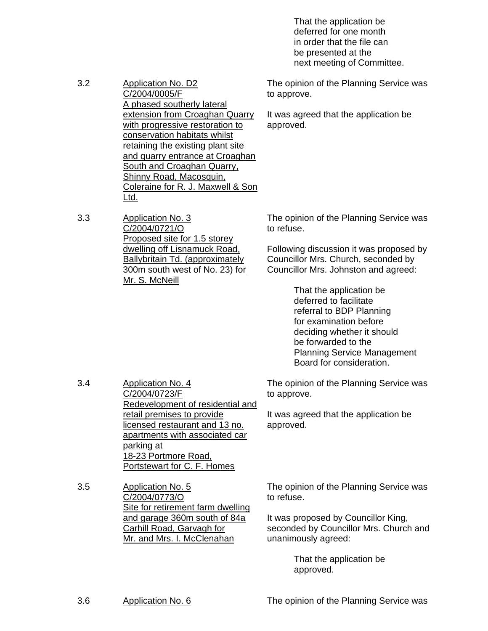That the application be deferred for one month in order that the file can be presented at the next meeting of Committee.

The opinion of the Planning Service was to approve.

It was agreed that the application be approved.

The opinion of the Planning Service was to refuse.

Following discussion it was proposed by Councillor Mrs. Church, seconded by Councillor Mrs. Johnston and agreed:

> That the application be deferred to facilitate referral to BDP Planning for examination before deciding whether it should be forwarded to the Planning Service Management Board for consideration.

The opinion of the Planning Service was to approve.

It was agreed that the application be approved.

3.2 Application No. D2 C/2004/0005/F A phased southerly lateral extension from Croaghan Quarry with progressive restoration to conservation habitats whilst retaining the existing plant site and quarry entrance at Croaghan South and Croaghan Quarry, Shinny Road, Macosquin, Coleraine for R. J. Maxwell & Son

3.3 Application No. 3 C/2004/0721/O Proposed site for 1.5 storey dwelling off Lisnamuck Road, Ballybritain Td. (approximately 300m south west of No. 23) for Mr. S. McNeill

Ltd.

3.4 Application No. 4 C/2004/0723/F Redevelopment of residential and retail premises to provide licensed restaurant and 13 no. apartments with associated car parking at 18-23 Portmore Road, Portstewart for C. F. Homes

3.5 Application No. 5 C/2004/0773/O Site for retirement farm dwelling and garage 360m south of 84a Carhill Road, Garvagh for Mr. and Mrs. I. McClenahan

The opinion of the Planning Service was to refuse.

It was proposed by Councillor King, seconded by Councillor Mrs. Church and unanimously agreed:

> That the application be approved.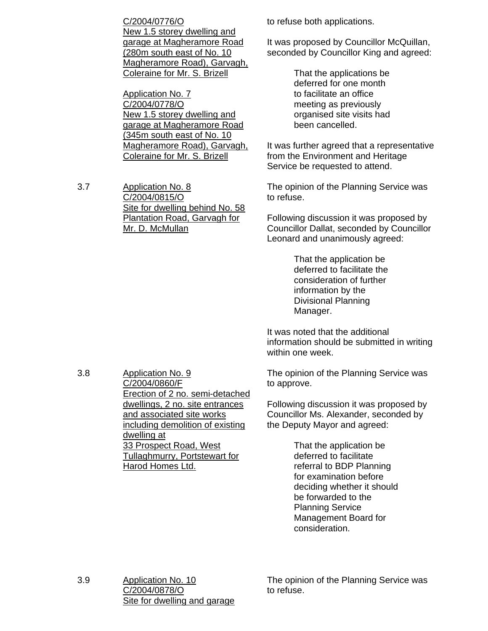C/2004/0776/O New 1.5 storey dwelling and garage at Magheramore Road (280m south east of No. 10 Magheramore Road), Garvagh, Coleraine for Mr. S. Brizell

Application No. 7 C/2004/0778/O New 1.5 storey dwelling and garage at Magheramore Road (345m south east of No. 10 Magheramore Road), Garvagh, Coleraine for Mr. S. Brizell

3.7 Application No. 8 C/2004/0815/O Site for dwelling behind No. 58 Plantation Road, Garvagh for Mr. D. McMullan

C/2004/0860/F

dwelling at

Erection of 2 no. semi-detached dwellings, 2 no. site entrances and associated site works including demolition of existing

to refuse both applications.

It was proposed by Councillor McQuillan, seconded by Councillor King and agreed:

> That the applications be deferred for one month to facilitate an office meeting as previously organised site visits had been cancelled.

It was further agreed that a representative from the Environment and Heritage Service be requested to attend.

The opinion of the Planning Service was to refuse.

Following discussion it was proposed by Councillor Dallat, seconded by Councillor Leonard and unanimously agreed:

> That the application be deferred to facilitate the consideration of further information by the Divisional Planning Manager.

It was noted that the additional information should be submitted in writing within one week.

The opinion of the Planning Service was to approve.

Following discussion it was proposed by Councillor Ms. Alexander, seconded by the Deputy Mayor and agreed:

> That the application be deferred to facilitate referral to BDP Planning for examination before deciding whether it should be forwarded to the Planning Service Management Board for consideration.

Site for dwelling and garage

C/2004/0878/O

33 Prospect Road, West Tullaghmurry, Portstewart for

Harod Homes Ltd.

The opinion of the Planning Service was to refuse.

3.8 Application No. 9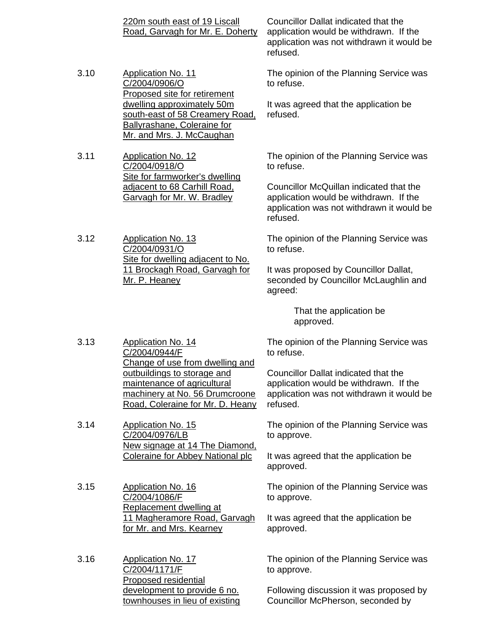|      | 220m south east of 19 Liscall<br>Road, Garvagh for Mr. E. Doherty                                                                                                                                              | Councillor Dallat indicated that the<br>application would be withdrawn. If the<br>application was not withdrawn it would be<br>refused.    |
|------|----------------------------------------------------------------------------------------------------------------------------------------------------------------------------------------------------------------|--------------------------------------------------------------------------------------------------------------------------------------------|
| 3.10 | <b>Application No. 11</b><br>C/2004/0906/O<br>Proposed site for retirement<br>dwelling approximately 50m<br>south-east of 58 Creamery Road,<br><b>Ballyrashane, Coleraine for</b><br>Mr. and Mrs. J. McCaughan | The opinion of the Planning Service was<br>to refuse.<br>It was agreed that the application be<br>refused.                                 |
| 3.11 | <b>Application No. 12</b><br>C/2004/0918/O<br>Site for farmworker's dwelling                                                                                                                                   | The opinion of the Planning Service was<br>to refuse.                                                                                      |
|      | adjacent to 68 Carhill Road,<br>Garvagh for Mr. W. Bradley                                                                                                                                                     | Councillor McQuillan indicated that the<br>application would be withdrawn. If the<br>application was not withdrawn it would be<br>refused. |
| 3.12 | Application No. 13<br>C/2004/0931/O                                                                                                                                                                            | The opinion of the Planning Service was<br>to refuse.                                                                                      |
|      | Site for dwelling adjacent to No.<br>11 Brockagh Road, Garvagh for<br>Mr. P. Heaney                                                                                                                            | It was proposed by Councillor Dallat,<br>seconded by Councillor McLaughlin and<br>agreed:                                                  |
|      |                                                                                                                                                                                                                | That the application be<br>approved.                                                                                                       |
| 3.13 | Application No. 14<br>C/2004/0944/F<br>Change of use from dwelling and                                                                                                                                         | The opinion of the Planning Service was<br>to refuse.                                                                                      |
|      | outbuildings to storage and<br>maintenance of agricultural<br>machinery at No. 56 Drumcroone                                                                                                                   | <b>Councillor Dallat indicated that the</b><br>application would be withdrawn. If the<br>application was not withdrawn it would be         |
|      | Road, Coleraine for Mr. D. Heany                                                                                                                                                                               | refused.                                                                                                                                   |
| 3.14 | <b>Application No. 15</b><br>C/2004/0976/LB                                                                                                                                                                    | The opinion of the Planning Service was<br>to approve.                                                                                     |
|      | New signage at 14 The Diamond.<br><b>Coleraine for Abbey National plc</b>                                                                                                                                      | It was agreed that the application be<br>approved.                                                                                         |
| 3.15 | <b>Application No. 16</b><br>C/2004/1086/F                                                                                                                                                                     | The opinion of the Planning Service was<br>to approve.                                                                                     |
|      | Replacement dwelling at<br>11 Magheramore Road, Garvagh<br>for Mr. and Mrs. Kearney                                                                                                                            | It was agreed that the application be<br>approved.                                                                                         |
| 3.16 | <b>Application No. 17</b><br>C/2004/1171/F<br><b>Proposed residential</b>                                                                                                                                      | The opinion of the Planning Service was<br>to approve.                                                                                     |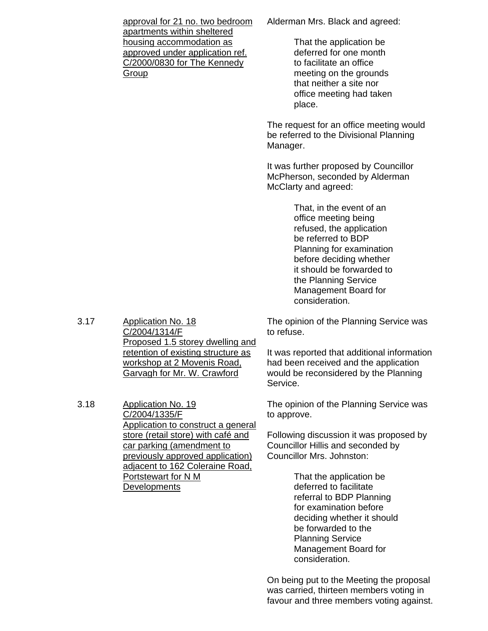approval for 21 no. two bedroom apartments within sheltered housing accommodation as approved under application ref. C/2000/0830 for The Kennedy Group

Alderman Mrs. Black and agreed:

 That the application be deferred for one month to facilitate an office meeting on the grounds that neither a site nor office meeting had taken place.

The request for an office meeting would be referred to the Divisional Planning Manager.

It was further proposed by Councillor McPherson, seconded by Alderman McClarty and agreed:

> That, in the event of an office meeting being refused, the application be referred to BDP Planning for examination before deciding whether it should be forwarded to the Planning Service Management Board for consideration.

3.17 Application No. 18 C/2004/1314/F Proposed 1.5 storey dwelling and retention of existing structure as workshop at 2 Movenis Road, Garvagh for Mr. W. Crawford

3.18 Application No. 19 C/2004/1335/F Application to construct a general store (retail store) with café and car parking (amendment to previously approved application) adjacent to 162 Coleraine Road, Portstewart for N M **Developments** 

The opinion of the Planning Service was to refuse.

It was reported that additional information had been received and the application would be reconsidered by the Planning Service.

The opinion of the Planning Service was to approve.

Following discussion it was proposed by Councillor Hillis and seconded by Councillor Mrs. Johnston:

> That the application be deferred to facilitate referral to BDP Planning for examination before deciding whether it should be forwarded to the Planning Service Management Board for consideration.

On being put to the Meeting the proposal was carried, thirteen members voting in favour and three members voting against.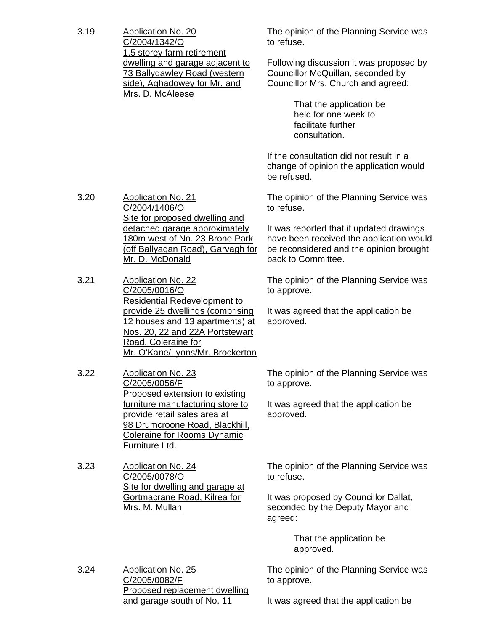| 3.19 | <b>Application No. 20</b><br>C/2004/1342/O                                                                                                                               | The opinion of the Planning Service was<br>to refuse.                                                                                                 |
|------|--------------------------------------------------------------------------------------------------------------------------------------------------------------------------|-------------------------------------------------------------------------------------------------------------------------------------------------------|
|      | 1.5 storey farm retirement<br>dwelling and garage adjacent to<br>73 Ballygawley Road (western<br>side), Aghadowey for Mr. and<br>Mrs. D. McAleese                        | Following discussion it was proposed by<br>Councillor McQuillan, seconded by<br>Councillor Mrs. Church and agreed:<br>That the application be         |
|      |                                                                                                                                                                          | held for one week to<br>facilitate further<br>consultation.                                                                                           |
|      |                                                                                                                                                                          | If the consultation did not result in a<br>change of opinion the application would<br>be refused.                                                     |
| 3.20 | <b>Application No. 21</b><br>C/2004/1406/O<br>Site for proposed dwelling and                                                                                             | The opinion of the Planning Service was<br>to refuse.                                                                                                 |
|      | detached garage approximately<br>180m west of No. 23 Brone Park<br>(off Ballyagan Road), Garvagh for<br>Mr. D. McDonald                                                  | It was reported that if updated drawings<br>have been received the application would<br>be reconsidered and the opinion brought<br>back to Committee. |
| 3.21 | <b>Application No. 22</b><br>C/2005/0016/O<br><b>Residential Redevelopment to</b>                                                                                        | The opinion of the Planning Service was<br>to approve.                                                                                                |
|      | provide 25 dwellings (comprising<br>12 houses and 13 apartments) at<br>Nos. 20, 22 and 22A Portstewart<br>Road, Coleraine for<br>Mr. O'Kane/Lyons/Mr. Brockerton         | It was agreed that the application be<br>approved.                                                                                                    |
| 3.22 | <b>Application No. 23</b><br>C/2005/0056/F<br>Proposed extension to existing                                                                                             | The opinion of the Planning Service was<br>to approve.                                                                                                |
|      | furniture manufacturing store to<br>provide retail sales area at<br><u>98 Drumcroone Road, Blackhill,</u><br><b>Coleraine for Rooms Dynamic</b><br><b>Furniture Ltd.</b> | It was agreed that the application be<br>approved.                                                                                                    |
| 3.23 | <b>Application No. 24</b><br>C/2005/0078/O<br>Site for dwelling and garage at                                                                                            | The opinion of the Planning Service was<br>to refuse.                                                                                                 |
|      | Gortmacrane Road, Kilrea for<br>Mrs. M. Mullan                                                                                                                           | It was proposed by Councillor Dallat,<br>seconded by the Deputy Mayor and<br>agreed:                                                                  |
|      |                                                                                                                                                                          | That the application be<br>approved.                                                                                                                  |
| 3.24 | <b>Application No. 25</b><br>C/2005/0082/F<br>Proposed replacement dwelling                                                                                              | The opinion of the Planning Service was<br>to approve.                                                                                                |
|      | and garage south of No. 11                                                                                                                                               | It was agreed that the application be                                                                                                                 |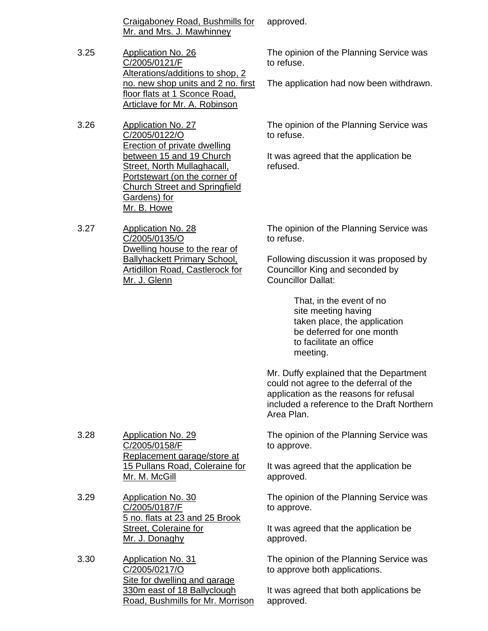Craigaboney Road, Bushmills for Mr. and Mrs. J. Mawhinney approved.

3.25 Application No. 26 C/2005/0121/F Alterations/additions to shop, 2 no. new shop units and 2 no. first floor flats at 1 Sconce Road, Articlave for Mr. A. Robinson

3.26 Application No. 27 C/2005/0122/O Erection of private dwelling between 15 and 19 Church Street, North Mullaghacall, Portstewart (on the corner of Church Street and Springfield Gardens) for Mr. B. Howe

3.27 Application No. 28 C/2005/0135/O Dwelling house to the rear of Ballyhackett Primary School, Artidillon Road, Castlerock for Mr. J. Glenn

The opinion of the Planning Service was to refuse.

The application had now been withdrawn.

The opinion of the Planning Service was to refuse.

It was agreed that the application be refused.

The opinion of the Planning Service was to refuse.

Following discussion it was proposed by Councillor King and seconded by Councillor Dallat:

> That, in the event of no site meeting having taken place, the application be deferred for one month to facilitate an office meeting.

Mr. Duffy explained that the Department could not agree to the deferral of the application as the reasons for refusal included a reference to the Draft Northern Area Plan.

The opinion of the Planning Service was to approve.

It was agreed that the application be approved.

The opinion of the Planning Service was to approve.

It was agreed that the application be approved.

The opinion of the Planning Service was to approve both applications.

It was agreed that both applications be approved.

3.28 Application No. 29 C/2005/0158/F Replacement garage/store at 15 Pullans Road, Coleraine for Mr. M. McGill

3.29 Application No. 30 C/2005/0187/F 5 no. flats at 23 and 25 Brook Street, Coleraine for Mr. J. Donaghy

3.30 Application No. 31 C/2005/0217/O Site for dwelling and garage 330m east of 18 Ballyclough Road, Bushmills for Mr. Morrison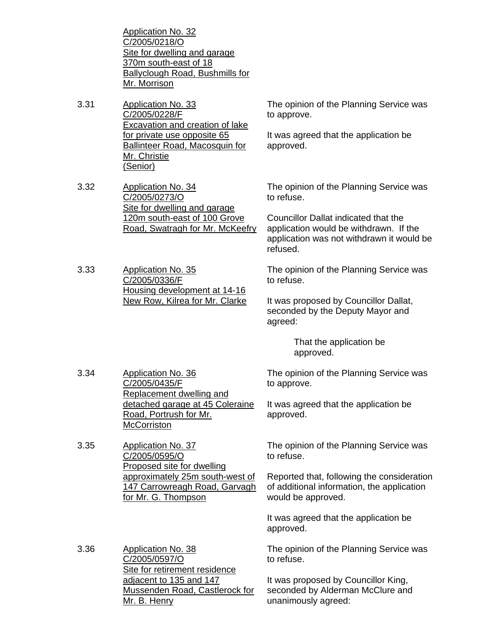Application No. 32 C/2005/0218/O Site for dwelling and garage 370m south-east of 18 Ballyclough Road, Bushmills for Mr. Morrison

3.31 Application No. 33 C/2005/0228/F Excavation and creation of lake for private use opposite 65 Ballinteer Road, Macosquin for Mr. Christie (Senior)

3.32 Application No. 34 C/2005/0273/O Site for dwelling and garage 120m south-east of 100 Grove Road, Swatragh for Mr. McKeefry

3.33 Application No. 35 C/2005/0336/F Housing development at 14-16 New Row, Kilrea for Mr. Clarke

The opinion of the Planning Service was to approve.

It was agreed that the application be approved.

The opinion of the Planning Service was to refuse.

Councillor Dallat indicated that the application would be withdrawn. If the application was not withdrawn it would be refused.

The opinion of the Planning Service was to refuse.

It was proposed by Councillor Dallat, seconded by the Deputy Mayor and agreed:

> That the application be approved.

The opinion of the Planning Service was to approve.

It was agreed that the application be approved.

The opinion of the Planning Service was to refuse.

Reported that, following the consideration of additional information, the application would be approved.

It was agreed that the application be approved.

3.36 Application No. 38 C/2005/0597/O Site for retirement residence adjacent to 135 and 147 Mussenden Road, Castlerock for Mr. B. Henry The opinion of the Planning Service was to refuse. It was proposed by Councillor King, seconded by Alderman McClure and unanimously agreed:

Replacement dwelling and detached garage at 45 Coleraine Road, Portrush for Mr. **McCorriston** 3.35 Application No. 37

3.34 Application No. 36

C/2005/0435/F

C/2005/0595/O Proposed site for dwelling approximately 25m south-west of 147 Carrowreagh Road, Garvagh for Mr. G. Thompson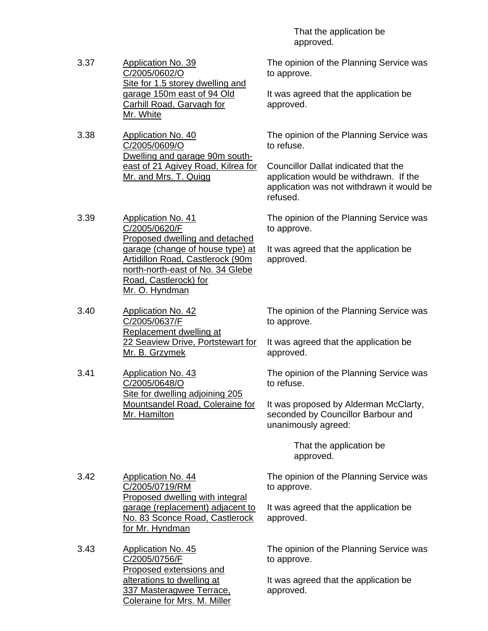That the application be approved.

| 3.37 | <b>Application No. 39</b><br>C/2005/0602/O<br>Site for 1.5 storey dwelling and<br>garage 150m east of 94 Old<br><b>Carhill Road, Garvagh for</b>                                                                                    | The opinion of the Planning Service was<br>to approve.<br>It was agreed that the application be<br>approved.                                                                                     |
|------|-------------------------------------------------------------------------------------------------------------------------------------------------------------------------------------------------------------------------------------|--------------------------------------------------------------------------------------------------------------------------------------------------------------------------------------------------|
| 3.38 | Mr. White<br><b>Application No. 40</b><br>C/2005/0609/O<br>Dwelling and garage 90m south-<br>east of 21 Agivey Road, Kilrea for<br>Mr. and Mrs. T. Quigg                                                                            | The opinion of the Planning Service was<br>to refuse.<br>Councillor Dallat indicated that the<br>application would be withdrawn. If the<br>application was not withdrawn it would be<br>refused. |
| 3.39 | Application No. 41<br>C/2005/0620/F<br>Proposed dwelling and detached<br>garage (change of house type) at<br><b>Artidillon Road, Castlerock (90m</b><br>north-north-east of No. 34 Glebe<br>Road, Castlerock) for<br>Mr. O. Hyndman | The opinion of the Planning Service was<br>to approve.<br>It was agreed that the application be<br>approved.                                                                                     |
| 3.40 | <b>Application No. 42</b><br>C/2005/0637/F<br>Replacement dwelling at<br>22 Seaview Drive, Portstewart for<br>Mr. B. Grzymek                                                                                                        | The opinion of the Planning Service was<br>to approve.<br>It was agreed that the application be<br>approved.                                                                                     |
| 3.41 | <b>Application No. 43</b><br>C/2005/0648/O<br>Site for dwelling adjoining 205<br><b>Mountsandel Road, Coleraine for</b><br>Mr. Hamilton                                                                                             | The opinion of the Planning Service was<br>to refuse.<br>It was proposed by Alderman McClarty,<br>seconded by Councillor Barbour and<br>unanimously agreed:                                      |
|      |                                                                                                                                                                                                                                     | That the application be<br>approved.                                                                                                                                                             |
| 3.42 | <b>Application No. 44</b><br>C/2005/0719/RM<br>Proposed dwelling with integral<br>garage (replacement) adjacent to<br>No. 83 Sconce Road, Castlerock<br>for Mr. Hyndman                                                             | The opinion of the Planning Service was<br>to approve.<br>It was agreed that the application be<br>approved.                                                                                     |
| 3.43 | <b>Application No. 45</b><br>C/2005/0756/F<br>Proposed extensions and<br>alterations to dwelling at<br>337 Masteragwee Terrace,<br><b>Coleraine for Mrs. M. Miller</b>                                                              | The opinion of the Planning Service was<br>to approve.<br>It was agreed that the application be<br>approved.                                                                                     |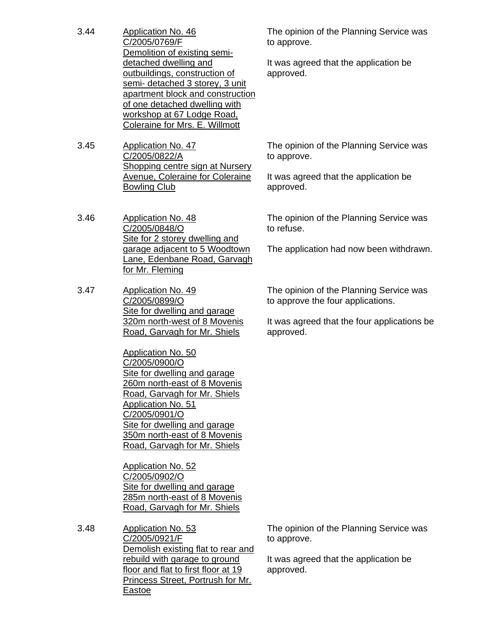| 3.44 | Application No. 46               |
|------|----------------------------------|
|      | C/2005/0769/F                    |
|      | Demolition of existing semi-     |
|      | detached dwelling and            |
|      | outbuildings, construction of    |
|      | semi- detached 3 storey, 3 unit  |
|      | apartment block and construction |
|      | of one detached dwelling with    |
|      | workshop at 67 Lodge Road,       |
|      | Coleraine for Mrs. E. Willmott   |

3.45 Application No. 47 C/2005/0822/A Shopping centre sign at Nursery Avenue, Coleraine for Coleraine Bowling Club

3.46 Application No. 48 C/2005/0848/O Site for 2 storey dwelling and garage adjacent to 5 Woodtown Lane, Edenbane Road, Garvagh for Mr. Fleming

3.47 Application No. 49 C/2005/0899/O Site for dwelling and garage 320m north-west of 8 Movenis Road, Garvagh for Mr. Shiels

> Application No. 50 C/2005/0900/O Site for dwelling and garage 260m north-east of 8 Movenis Road, Garvagh for Mr. Shiels Application No. 51 C/2005/0901/O Site for **dwelling** and garage 350m north-east of 8 Movenis Road, Garvagh for Mr. Shiels

Application No. 52 C/2005/0902/O Site for dwelling and garage 285m north-east of 8 Movenis Road, Garvagh for Mr. Shiels

3.48 Application No. 53 C/2005/0921/F Demolish existing flat to rear and rebuild with garage to ground floor and flat to first floor at 19 Princess Street, Portrush for Mr. Eastoe

The opinion of the Planning Service was to approve.

It was agreed that the application be approved.

The opinion of the Planning Service was to approve.

It was agreed that the application be approved.

The opinion of the Planning Service was to refuse.

The application had now been withdrawn.

The opinion of the Planning Service was to approve the four applications.

It was agreed that the four applications be approved.

The opinion of the Planning Service was to approve.

It was agreed that the application be approved.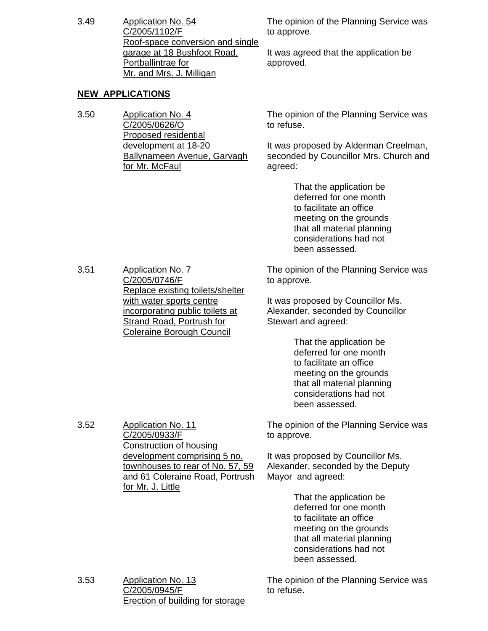3.49 Application No. 54 C/2005/1102/F Roof-space conversion and single garage at 18 Bushfoot Road, Portballintrae for Mr. and Mrs. J. Milligan

# **NEW APPLICATIONS**

3.50 Application No. 4 C/2005/0626/O Proposed residential development at 18-20 Ballynameen Avenue, Garvagh for Mr. McFaul

The opinion of the Planning Service was to approve.

It was agreed that the application be approved.

The opinion of the Planning Service was to refuse.

It was proposed by Alderman Creelman, seconded by Councillor Mrs. Church and agreed:

> That the application be deferred for one month to facilitate an office meeting on the grounds that all material planning considerations had not been assessed.

3.51 Application No. 7 C/2005/0746/F Replace existing toilets/shelter with water sports centre incorporating public toilets at Strand Road, Portrush for Coleraine Borough Council

3.52 Application No. 11

C/2005/0933/F

for Mr. J. Little

Construction of housing

development comprising 5 no. townhouses to rear of No. 57, 59 and 61 Coleraine Road, Portrush The opinion of the Planning Service was to approve.

It was proposed by Councillor Ms. Alexander, seconded by Councillor Stewart and agreed:

> That the application be deferred for one month to facilitate an office meeting on the grounds that all material planning considerations had not been assessed.

The opinion of the Planning Service was to approve.

It was proposed by Councillor Ms. Alexander, seconded by the Deputy Mayor and agreed:

> That the application be deferred for one month to facilitate an office meeting on the grounds that all material planning considerations had not been assessed.

3.53 Application No. 13 C/2005/0945/F Erection of building for storage

The opinion of the Planning Service was to refuse.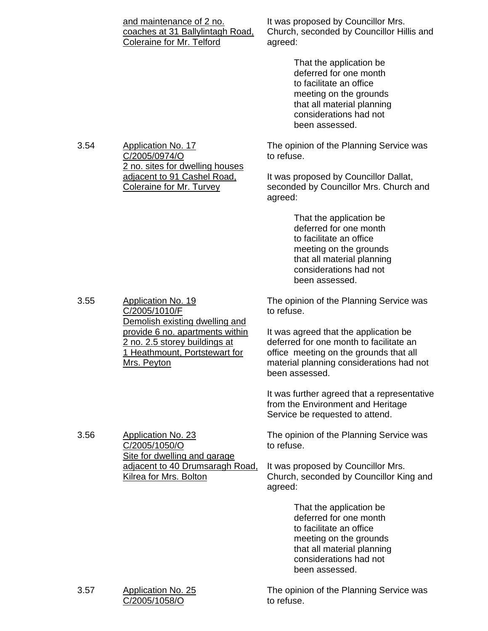|      | and maintenance of 2 no.<br>coaches at 31 Ballylintagh Road,<br><b>Coleraine for Mr. Telford</b>                                                   | It was proposed by Councillor Mrs.<br>Church, seconded by Councillor Hillis and<br>agreed:                                                                                               |
|------|----------------------------------------------------------------------------------------------------------------------------------------------------|------------------------------------------------------------------------------------------------------------------------------------------------------------------------------------------|
|      |                                                                                                                                                    | That the application be<br>deferred for one month<br>to facilitate an office<br>meeting on the grounds<br>that all material planning<br>considerations had not<br>been assessed.         |
| 3.54 | <b>Application No. 17</b><br>C/2005/0974/O                                                                                                         | The opinion of the Planning Service was<br>to refuse.                                                                                                                                    |
|      | 2 no. sites for dwelling houses<br>adjacent to 91 Cashel Road,<br><b>Coleraine for Mr. Turvey</b>                                                  | It was proposed by Councillor Dallat,<br>seconded by Councillor Mrs. Church and<br>agreed:                                                                                               |
|      |                                                                                                                                                    | That the application be<br>deferred for one month<br>to facilitate an office<br>meeting on the grounds<br>that all material planning<br>considerations had not<br>been assessed.         |
| 3.55 | <b>Application No. 19</b><br>C/2005/1010/F                                                                                                         | The opinion of the Planning Service was<br>to refuse.                                                                                                                                    |
|      | Demolish existing dwelling and<br>provide 6 no. apartments within<br>2 no. 2.5 storey buildings at<br>1 Heathmount, Portstewart for<br>Mrs. Peyton | It was agreed that the application be<br>deferred for one month to facilitate an<br>office meeting on the grounds that all<br>material planning considerations had not<br>been assessed. |
|      |                                                                                                                                                    | It was further agreed that a representative<br>from the Environment and Heritage<br>Service be requested to attend.                                                                      |
| 3.56 | <b>Application No. 23</b><br>C/2005/1050/O                                                                                                         | The opinion of the Planning Service was<br>to refuse.                                                                                                                                    |
|      | Site for dwelling and garage<br>adjacent to 40 Drumsaragh Road,<br><b>Kilrea for Mrs. Bolton</b>                                                   | It was proposed by Councillor Mrs.<br>Church, seconded by Councillor King and<br>agreed:                                                                                                 |
|      |                                                                                                                                                    | That the application be<br>deferred for one month<br>to facilitate an office<br>meeting on the grounds<br>that all material planning<br>considerations had not<br>been assessed.         |
| 3.57 | <b>Application No. 25</b><br>C/2005/1058/O                                                                                                         | The opinion of the Planning Service was<br>to refuse.                                                                                                                                    |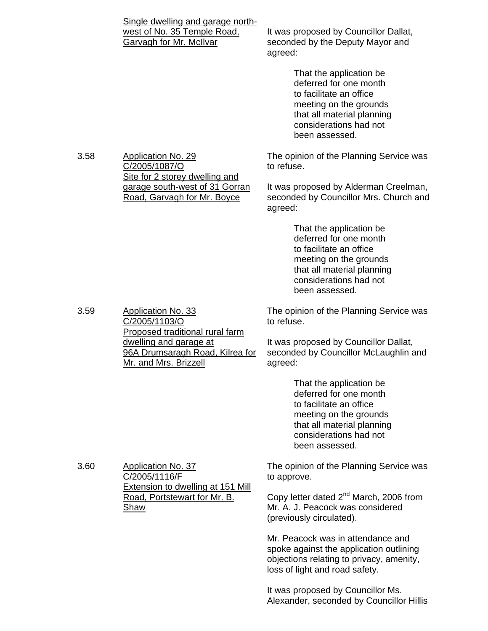|      | Single dwelling and garage north-<br>west of No. 35 Temple Road,<br><b>Garvagh for Mr. McIlvar</b> | It was proposed by Councillor Dallat,<br>seconded by the Deputy Mayor and<br>agreed:                                                                                             |
|------|----------------------------------------------------------------------------------------------------|----------------------------------------------------------------------------------------------------------------------------------------------------------------------------------|
|      |                                                                                                    | That the application be<br>deferred for one month<br>to facilitate an office<br>meeting on the grounds<br>that all material planning<br>considerations had not<br>been assessed. |
| 3.58 | <b>Application No. 29</b><br>C/2005/1087/O                                                         | The opinion of the Planning Service was<br>to refuse.                                                                                                                            |
|      | Site for 2 storey dwelling and<br>garage south-west of 31 Gorran<br>Road, Garvagh for Mr. Boyce    | It was proposed by Alderman Creelman,<br>seconded by Councillor Mrs. Church and<br>agreed:                                                                                       |
|      |                                                                                                    | That the application be<br>deferred for one month<br>to facilitate an office<br>meeting on the grounds<br>that all material planning<br>considerations had not<br>been assessed. |
| 3.59 | <b>Application No. 33</b><br>C/2005/1103/O<br>Proposed traditional rural farm                      | The opinion of the Planning Service was<br>to refuse.                                                                                                                            |
|      | dwelling and garage at<br>96A Drumsaragh Road, Kilrea for<br>Mr. and Mrs. Brizzell                 | It was proposed by Councillor Dallat,<br>seconded by Councillor McLaughlin and<br>agreed:                                                                                        |
|      |                                                                                                    | That the application be<br>deferred for one month<br>to facilitate an office<br>meeting on the grounds<br>that all material planning<br>considerations had not<br>been assessed. |
| 3.60 | <b>Application No. 37</b><br>C/2005/1116/F                                                         | The opinion of the Planning Service was<br>to approve.                                                                                                                           |
|      | <b>Extension to dwelling at 151 Mill</b><br>Road, Portstewart for Mr. B.<br>Shaw                   | Copy letter dated 2 <sup>nd</sup> March, 2006 from<br>Mr. A. J. Peacock was considered<br>(previously circulated).                                                               |
|      |                                                                                                    | Mr. Peacock was in attendance and<br>spoke against the application outlining<br>objections relating to privacy, amenity,<br>loss of light and road safety.                       |
|      |                                                                                                    | It was proposed by Councillor Ms.<br>Alexander, seconded by Councillor Hillis                                                                                                    |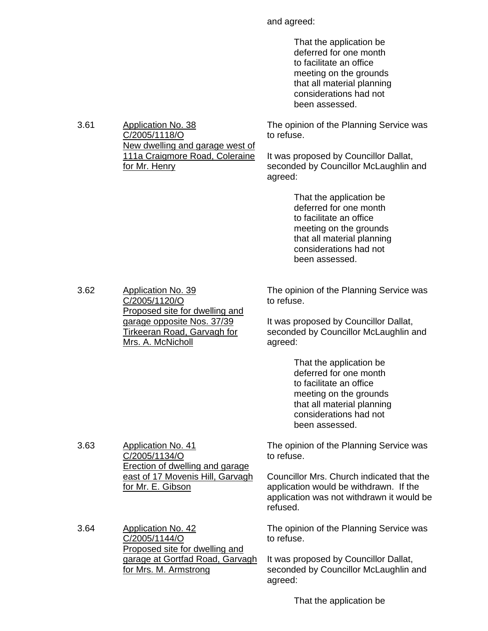and agreed:

 That the application be deferred for one month to facilitate an office meeting on the grounds that all material planning considerations had not been assessed.

The opinion of the Planning Service was to refuse.

It was proposed by Councillor Dallat, seconded by Councillor McLaughlin and agreed:

> That the application be deferred for one month to facilitate an office meeting on the grounds that all material planning considerations had not been assessed.

3.62 Application No. 39 C/2005/1120/O Proposed site for dwelling and garage opposite Nos. 37/39 Tirkeeran Road, Garvagh for Mrs. A. McNicholl

The opinion of the Planning Service was to refuse.

It was proposed by Councillor Dallat, seconded by Councillor McLaughlin and agreed:

> That the application be deferred for one month to facilitate an office meeting on the grounds that all material planning considerations had not been assessed.

The opinion of the Planning Service was to refuse.

Councillor Mrs. Church indicated that the application would be withdrawn. If the application was not withdrawn it would be refused.

The opinion of the Planning Service was to refuse.

It was proposed by Councillor Dallat, seconded by Councillor McLaughlin and agreed:

That the application be

3.61 Application No. 38 C/2005/1118/O New dwelling and garage west of 111a Craigmore Road, Coleraine for Mr. Henry

3.63 Application No. 41 C/2005/1134/O Erection of dwelling and garage east of 17 Movenis Hill, Garvagh for Mr. E. Gibson

3.64 Application No. 42 C/2005/1144/O Proposed site for dwelling and garage at Gortfad Road, Garvagh for Mrs. M. Armstrong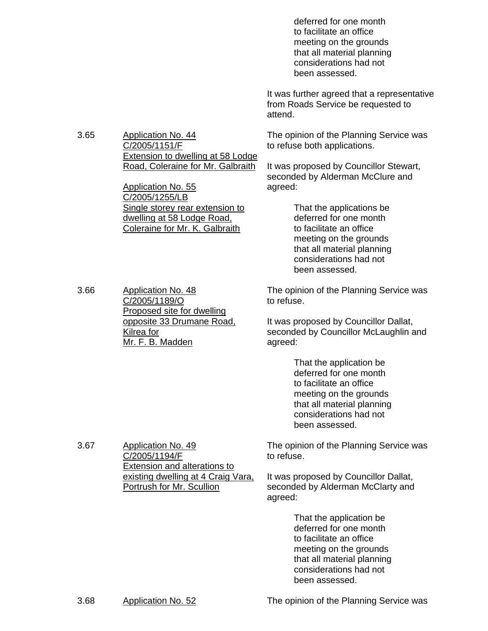deferred for one month to facilitate an office meeting on the grounds that all material planning considerations had not been assessed.

It was further agreed that a representative from Roads Service be requested to attend.

The opinion of the Planning Service was to refuse both applications.

It was proposed by Councillor Stewart, seconded by Alderman McClure and agreed:

> That the applications be deferred for one month to facilitate an office meeting on the grounds that all material planning considerations had not been assessed.

The opinion of the Planning Service was to refuse.

It was proposed by Councillor Dallat, seconded by Councillor McLaughlin and agreed:

> That the application be deferred for one month to facilitate an office meeting on the grounds that all material planning considerations had not been assessed.

The opinion of the Planning Service was to refuse.

It was proposed by Councillor Dallat, seconded by Alderman McClarty and agreed:

> That the application be deferred for one month to facilitate an office meeting on the grounds that all material planning considerations had not been assessed.

3.65 Application No. 44 C/2005/1151/F Extension to dwelling at 58 Lodge Road, Coleraine for Mr. Galbraith

> Application No. 55 C/2005/1255/LB Single storey rear extension to dwelling at 58 Lodge Road, Coleraine for Mr. K. Galbraith

3.66 Application No. 48 C/2005/1189/O Proposed site for dwelling opposite 33 Drumane Road, Kilrea for Mr. F. B. Madden

3.67 Application No. 49

C/2005/1194/F

Extension and alterations to existing dwelling at 4 Craig Vara,

Portrush for Mr. Scullion

3.68 Application No. 52 The opinion of the Planning Service was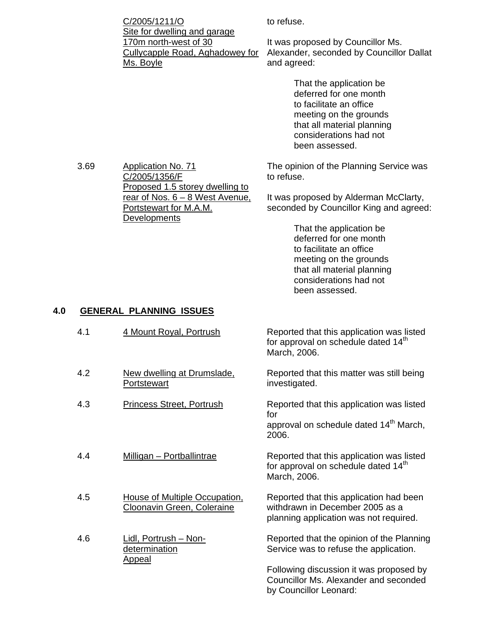| C/2005/1211/O                   | to refuse.                               |
|---------------------------------|------------------------------------------|
| Site for dwelling and garage    |                                          |
| 170m north-west of 30           | It was proposed by Councillor Ms.        |
| Cullycapple Road, Aghadowey for | Alexander, seconded by Councillor Dallat |
| Ms. Boyle                       | and agreed:                              |
|                                 |                                          |

 That the application be deferred for one month to facilitate an office meeting on the grounds that all material planning considerations had not been assessed.

The opinion of the Planning Service was to refuse.

It was proposed by Alderman McClarty, seconded by Councillor King and agreed:

> That the application be deferred for one month to facilitate an office meeting on the grounds that all material planning considerations had not been assessed.

# **4.0 GENERAL PLANNING ISSUES**

3.69 Application No. 71

C/2005/1356/F

**Developments** 

Portstewart for M.A.M.

Proposed 1.5 storey dwelling to rear of Nos. 6 – 8 West Avenue,

| 4.1 | 4 Mount Royal, Portrush                                     | Reported that this application was listed<br>for approval on schedule dated 14 <sup>th</sup><br>March, 2006.         |
|-----|-------------------------------------------------------------|----------------------------------------------------------------------------------------------------------------------|
| 4.2 | New dwelling at Drumslade,<br>Portstewart                   | Reported that this matter was still being<br>investigated.                                                           |
| 4.3 | Princess Street, Portrush                                   | Reported that this application was listed<br>for<br>approval on schedule dated 14 <sup>th</sup> March,<br>2006.      |
| 4.4 | Milligan - Portballintrae                                   | Reported that this application was listed<br>for approval on schedule dated 14 <sup>th</sup><br>March, 2006.         |
| 4.5 | House of Multiple Occupation,<br>Cloonavin Green, Coleraine | Reported that this application had been<br>withdrawn in December 2005 as a<br>planning application was not required. |
| 4.6 | Lidl, Portrush - Non-<br>determination<br><b>Appeal</b>     | Reported that the opinion of the Planning<br>Service was to refuse the application.                                  |
|     |                                                             | Following discussion it was proposed by<br>Councillor Ms. Alexander and seconded<br>by Councillor Leonard:           |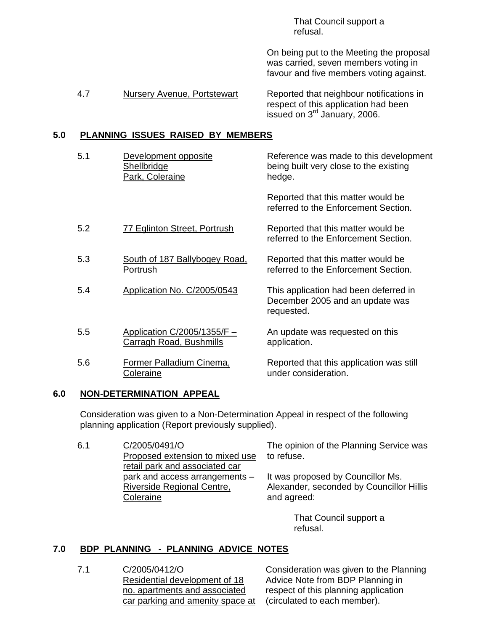That Council support a refusal.

On being put to the Meeting the proposal was carried, seven members voting in favour and five members voting against.

4.7 Nursery Avenue, Portstewart Reported that neighbour notifications in respect of this application had been issued on 3rd January, 2006.

# **5.0 PLANNING ISSUES RAISED BY MEMBERS**

| 5.1 | Development opposite<br>Shellbridge<br>Park, Coleraine          | Reference was made to this development<br>being built very close to the existing<br>hedge. |
|-----|-----------------------------------------------------------------|--------------------------------------------------------------------------------------------|
|     |                                                                 | Reported that this matter would be<br>referred to the Enforcement Section.                 |
| 5.2 | <b>77 Eglinton Street, Portrush</b>                             | Reported that this matter would be<br>referred to the Enforcement Section.                 |
| 5.3 | South of 187 Ballybogey Road,<br>Portrush                       | Reported that this matter would be<br>referred to the Enforcement Section.                 |
| 5.4 | Application No. C/2005/0543                                     | This application had been deferred in<br>December 2005 and an update was<br>requested.     |
| 5.5 | Application $C/2005/1355/F$ –<br><b>Carragh Road, Bushmills</b> | An update was requested on this<br>application.                                            |
| 5.6 | Former Palladium Cinema.<br>Coleraine                           | Reported that this application was still<br>under consideration.                           |

#### **6.0 NON-DETERMINATION APPEAL**

 Consideration was given to a Non-Determination Appeal in respect of the following planning application (Report previously supplied).

6.1 C/2005/0491/O Proposed extension to mixed use retail park and associated car park and access arrangements – Riverside Regional Centre, **Coleraine** The opinion of the Planning Service was to refuse. It was proposed by Councillor Ms. Alexander, seconded by Councillor Hillis and agreed:

> That Council support a refusal.

# **7.0 BDP PLANNING - PLANNING ADVICE NOTES**

7.1 C/2005/0412/O Residential development of 18 no. apartments and associated car parking and amenity space at

Consideration was given to the Planning Advice Note from BDP Planning in respect of this planning application (circulated to each member).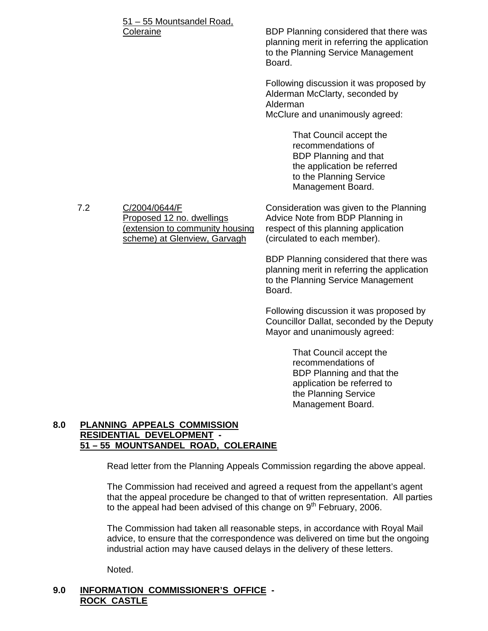| 51 - 55 Mountsandel Road,<br><b>Coleraine</b>                                                                 | BDP Planning considered that there was<br>planning merit in referring the application<br>to the Planning Service Management<br>Board.                        |
|---------------------------------------------------------------------------------------------------------------|--------------------------------------------------------------------------------------------------------------------------------------------------------------|
|                                                                                                               | Following discussion it was proposed by<br>Alderman McClarty, seconded by<br>Alderman<br>McClure and unanimously agreed:                                     |
|                                                                                                               | That Council accept the<br>recommendations of<br><b>BDP Planning and that</b><br>the application be referred<br>to the Planning Service<br>Management Board. |
| C/2004/0644/F<br>Proposed 12 no. dwellings<br>(extension to community housing<br>scheme) at Glenview, Garvagh | Consideration was given to the Planning<br>Advice Note from BDP Planning in<br>respect of this planning application<br>(circulated to each member).          |
|                                                                                                               | BDP Planning considered that there was<br>planning merit in referring the application<br>to the Planning Service Management<br>Board.                        |

Following discussion it was proposed by Councillor Dallat, seconded by the Deputy Mayor and unanimously agreed:

> That Council accept the recommendations of BDP Planning and that the application be referred to the Planning Service Management Board.

## **8.0 PLANNING APPEALS COMMISSION RESIDENTIAL DEVELOPMENT - 51 – 55 MOUNTSANDEL ROAD, COLERAINE**

Read letter from the Planning Appeals Commission regarding the above appeal.

 The Commission had received and agreed a request from the appellant's agent that the appeal procedure be changed to that of written representation. All parties to the appeal had been advised of this change on 9<sup>th</sup> February, 2006.

 The Commission had taken all reasonable steps, in accordance with Royal Mail advice, to ensure that the correspondence was delivered on time but the ongoing industrial action may have caused delays in the delivery of these letters.

Noted.

 $7.2$ 

# **9.0 INFORMATION COMMISSIONER'S OFFICE - ROCK CASTLE**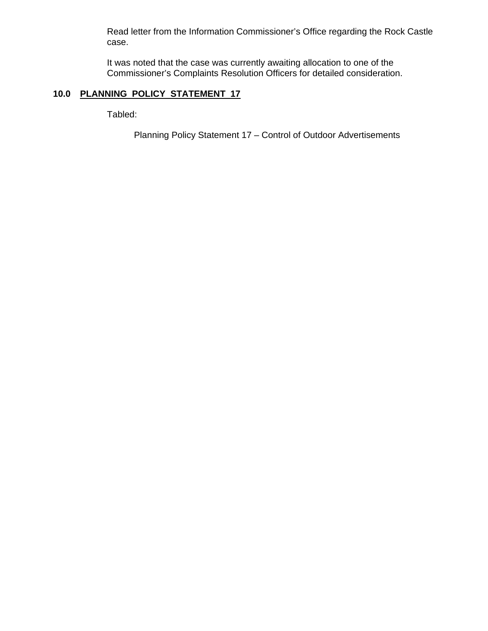Read letter from the Information Commissioner's Office regarding the Rock Castle case.

 It was noted that the case was currently awaiting allocation to one of the Commissioner's Complaints Resolution Officers for detailed consideration.

# **10.0 PLANNING POLICY STATEMENT 17**

Tabled:

Planning Policy Statement 17 – Control of Outdoor Advertisements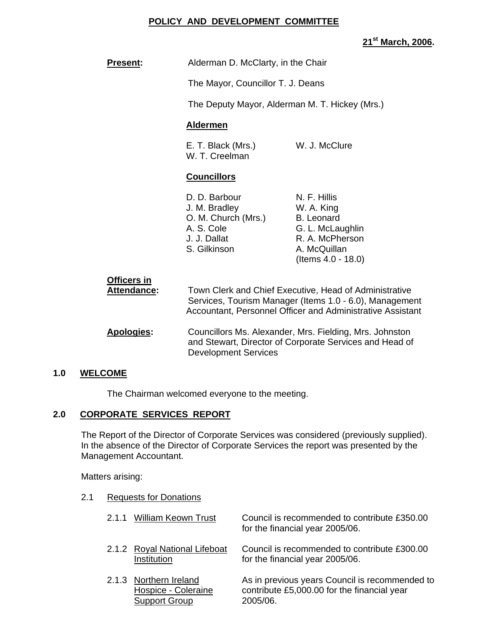# **POLICY AND DEVELOPMENT COMMITTEE**

**21st March, 2006.** 

| <b>Present:</b>                          | Alderman D. McClarty, in the Chair<br>The Mayor, Councillor T. J. Deans<br>The Deputy Mayor, Alderman M. T. Hickey (Mrs.)<br><b>Aldermen</b>                                    |                                                                                                                              |
|------------------------------------------|---------------------------------------------------------------------------------------------------------------------------------------------------------------------------------|------------------------------------------------------------------------------------------------------------------------------|
|                                          |                                                                                                                                                                                 |                                                                                                                              |
|                                          |                                                                                                                                                                                 |                                                                                                                              |
|                                          |                                                                                                                                                                                 |                                                                                                                              |
|                                          | E. T. Black (Mrs.)<br>W. T. Creelman                                                                                                                                            | W. J. McClure                                                                                                                |
|                                          | <b>Councillors</b>                                                                                                                                                              |                                                                                                                              |
|                                          | D. D. Barbour<br>J. M. Bradley<br>O. M. Church (Mrs.)<br>A. S. Cole<br>J. J. Dallat<br>S. Gilkinson                                                                             | N. F. Hillis<br>W. A. King<br><b>B.</b> Leonard<br>G. L. McLaughlin<br>R. A. McPherson<br>A. McQuillan<br>(Items 4.0 - 18.0) |
| <b>Officers in</b><br><b>Attendance:</b> | Town Clerk and Chief Executive, Head of Administrative<br>Services, Tourism Manager (Items 1.0 - 6.0), Management<br>Accountant, Personnel Officer and Administrative Assistant |                                                                                                                              |
| <b>Apologies:</b>                        | Councillors Ms. Alexander, Mrs. Fielding, Mrs. Johnston<br>and Stewart, Director of Corporate Services and Head of<br><b>Development Services</b>                               |                                                                                                                              |

# **1.0 WELCOME**

The Chairman welcomed everyone to the meeting.

### **2.0 CORPORATE SERVICES REPORT**

2.1 Requests for Donations

The Report of the Director of Corporate Services was considered (previously supplied). In the absence of the Director of Corporate Services the report was presented by the Management Accountant.

Matters arising:

| 2.1.1 William Keown Trust                                             | Council is recommended to contribute £350,00<br>for the financial year 2005/06.                          |
|-----------------------------------------------------------------------|----------------------------------------------------------------------------------------------------------|
| 2.1.2 Royal National Lifeboat<br>Institution                          | Council is recommended to contribute £300,00<br>for the financial year 2005/06.                          |
| 2.1.3 Northern Ireland<br>Hospice - Coleraine<br><b>Support Group</b> | As in previous years Council is recommended to<br>contribute £5,000.00 for the financial year<br>2005/06 |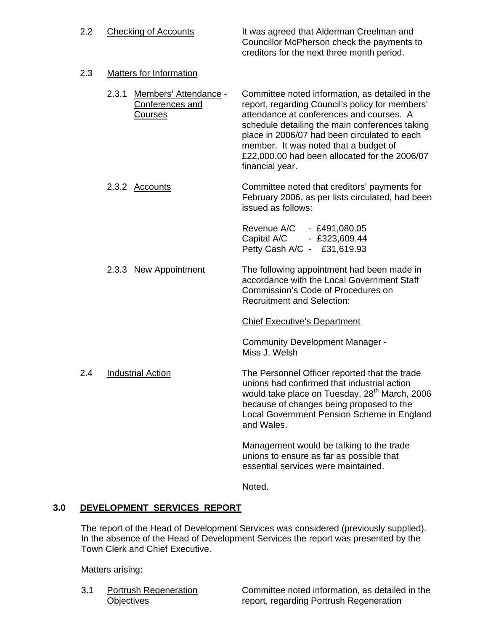|     | 2.2 | <b>Checking of Accounts</b>                                  | It was agreed that Alderman Creelman and<br>Councillor McPherson check the payments to<br>creditors for the next three month period.                                                                                                                                                                                                                          |  |
|-----|-----|--------------------------------------------------------------|---------------------------------------------------------------------------------------------------------------------------------------------------------------------------------------------------------------------------------------------------------------------------------------------------------------------------------------------------------------|--|
| 2.3 |     | Matters for Information                                      |                                                                                                                                                                                                                                                                                                                                                               |  |
|     |     | Members' Attendance -<br>2.3.1<br>Conferences and<br>Courses | Committee noted information, as detailed in the<br>report, regarding Council's policy for members'<br>attendance at conferences and courses. A<br>schedule detailing the main conferences taking<br>place in 2006/07 had been circulated to each<br>member. It was noted that a budget of<br>£22,000.00 had been allocated for the 2006/07<br>financial year. |  |
|     |     | 2.3.2 Accounts                                               | Committee noted that creditors' payments for<br>February 2006, as per lists circulated, had been<br>issued as follows:                                                                                                                                                                                                                                        |  |
|     |     |                                                              | Revenue A/C - £491,080.05<br>Capital A/C<br>$-$ £323,609.44<br>Petty Cash A/C - £31,619.93                                                                                                                                                                                                                                                                    |  |
|     |     | 2.3.3 New Appointment                                        | The following appointment had been made in<br>accordance with the Local Government Staff<br>Commission's Code of Procedures on<br><b>Recruitment and Selection:</b>                                                                                                                                                                                           |  |
|     |     |                                                              | <b>Chief Executive's Department</b>                                                                                                                                                                                                                                                                                                                           |  |
|     |     |                                                              | <b>Community Development Manager -</b><br>Miss J. Welsh                                                                                                                                                                                                                                                                                                       |  |
|     | 2.4 | <b>Industrial Action</b>                                     | The Personnel Officer reported that the trade<br>unions had confirmed that industrial action<br>would take place on Tuesday, 28 <sup>th</sup> March, 2006<br>because of changes being proposed to the<br>Local Government Pension Scheme in England<br>and Wales.                                                                                             |  |
|     |     |                                                              | Management would be talking to the trade<br>unions to ensure as far as possible that                                                                                                                                                                                                                                                                          |  |

Noted.

# **3.0 DEVELOPMENT SERVICES REPORT**

The report of the Head of Development Services was considered (previously supplied). In the absence of the Head of Development Services the report was presented by the Town Clerk and Chief Executive.

Matters arising:

3.1 Portrush Regeneration Committee noted information, as detailed in the Objectives **The Community Community** report, regarding Portrush Regeneration

essential services were maintained.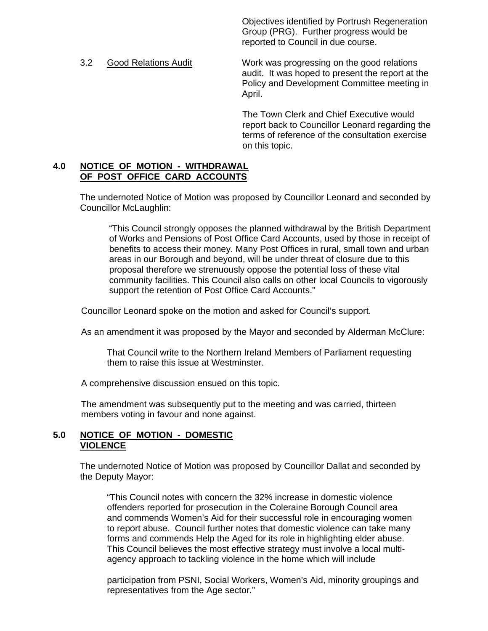Objectives identified by Portrush Regeneration Group (PRG). Further progress would be reported to Council in due course.

#### 3.2 Good Relations Audit Work was progressing on the good relations audit. It was hoped to present the report at the Policy and Development Committee meeting in April.

The Town Clerk and Chief Executive would report back to Councillor Leonard regarding the terms of reference of the consultation exercise on this topic.

#### **4.0 NOTICE OF MOTION - WITHDRAWAL OF POST OFFICE CARD ACCOUNTS**

 The undernoted Notice of Motion was proposed by Councillor Leonard and seconded by Councillor McLaughlin:

"This Council strongly opposes the planned withdrawal by the British Department of Works and Pensions of Post Office Card Accounts, used by those in receipt of benefits to access their money. Many Post Offices in rural, small town and urban areas in our Borough and beyond, will be under threat of closure due to this proposal therefore we strenuously oppose the potential loss of these vital community facilities. This Council also calls on other local Councils to vigorously support the retention of Post Office Card Accounts."

Councillor Leonard spoke on the motion and asked for Council's support.

As an amendment it was proposed by the Mayor and seconded by Alderman McClure:

 That Council write to the Northern Ireland Members of Parliament requesting them to raise this issue at Westminster.

A comprehensive discussion ensued on this topic.

The amendment was subsequently put to the meeting and was carried, thirteen members voting in favour and none against.

### **5.0 NOTICE OF MOTION - DOMESTIC VIOLENCE**

 The undernoted Notice of Motion was proposed by Councillor Dallat and seconded by the Deputy Mayor:

"This Council notes with concern the 32% increase in domestic violence offenders reported for prosecution in the Coleraine Borough Council area and commends Women's Aid for their successful role in encouraging women to report abuse. Council further notes that domestic violence can take many forms and commends Help the Aged for its role in highlighting elder abuse. This Council believes the most effective strategy must involve a local multiagency approach to tackling violence in the home which will include

participation from PSNI, Social Workers, Women's Aid, minority groupings and representatives from the Age sector."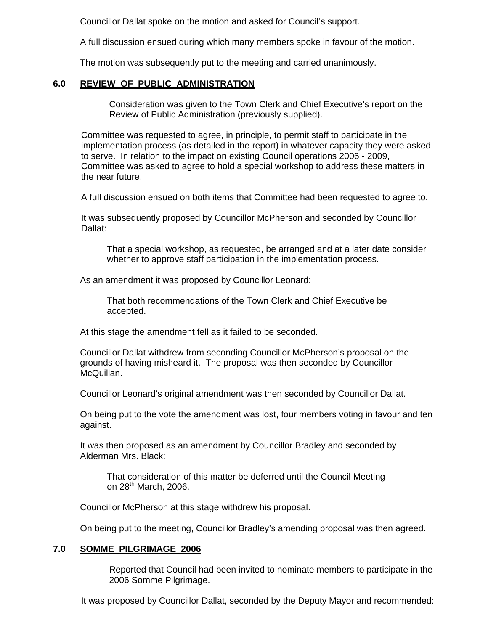Councillor Dallat spoke on the motion and asked for Council's support.

A full discussion ensued during which many members spoke in favour of the motion.

The motion was subsequently put to the meeting and carried unanimously.

# **6.0 REVIEW OF PUBLIC ADMINISTRATION**

Consideration was given to the Town Clerk and Chief Executive's report on the Review of Public Administration (previously supplied).

Committee was requested to agree, in principle, to permit staff to participate in the implementation process (as detailed in the report) in whatever capacity they were asked to serve. In relation to the impact on existing Council operations 2006 - 2009, Committee was asked to agree to hold a special workshop to address these matters in the near future.

A full discussion ensued on both items that Committee had been requested to agree to.

It was subsequently proposed by Councillor McPherson and seconded by Councillor Dallat:

 That a special workshop, as requested, be arranged and at a later date consider whether to approve staff participation in the implementation process.

As an amendment it was proposed by Councillor Leonard:

 That both recommendations of the Town Clerk and Chief Executive be accepted.

At this stage the amendment fell as it failed to be seconded.

 Councillor Dallat withdrew from seconding Councillor McPherson's proposal on the grounds of having misheard it. The proposal was then seconded by Councillor McQuillan.

Councillor Leonard's original amendment was then seconded by Councillor Dallat.

On being put to the vote the amendment was lost, four members voting in favour and ten against.

It was then proposed as an amendment by Councillor Bradley and seconded by Alderman Mrs. Black:

 That consideration of this matter be deferred until the Council Meeting on 28<sup>th</sup> March, 2006.

Councillor McPherson at this stage withdrew his proposal.

On being put to the meeting, Councillor Bradley's amending proposal was then agreed.

### **7.0 SOMME PILGRIMAGE 2006**

Reported that Council had been invited to nominate members to participate in the 2006 Somme Pilgrimage.

It was proposed by Councillor Dallat, seconded by the Deputy Mayor and recommended: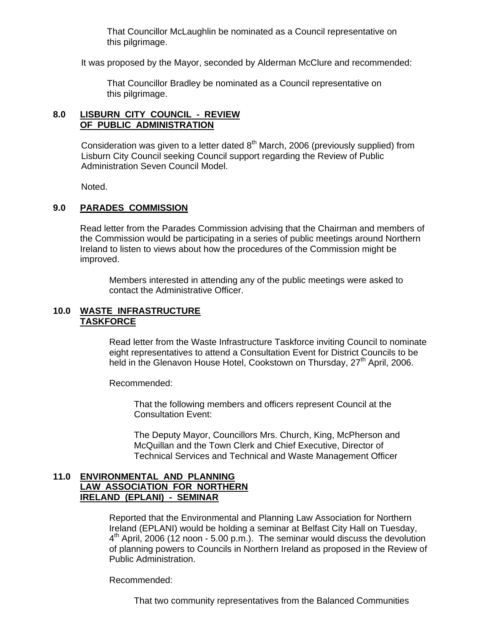That Councillor McLaughlin be nominated as a Council representative on this pilgrimage.

It was proposed by the Mayor, seconded by Alderman McClure and recommended:

 That Councillor Bradley be nominated as a Council representative on this pilgrimage.

# **8.0 LISBURN CITY COUNCIL - REVIEW OF PUBLIC ADMINISTRATION**

Consideration was given to a letter dated  $8<sup>th</sup>$  March, 2006 (previously supplied) from Lisburn City Council seeking Council support regarding the Review of Public Administration Seven Council Model.

Noted.

# **9.0 PARADES COMMISSION**

Read letter from the Parades Commission advising that the Chairman and members of the Commission would be participating in a series of public meetings around Northern Ireland to listen to views about how the procedures of the Commission might be improved.

Members interested in attending any of the public meetings were asked to contact the Administrative Officer.

### **10.0 WASTE INFRASTRUCTURE TASKFORCE**

Read letter from the Waste Infrastructure Taskforce inviting Council to nominate eight representatives to attend a Consultation Event for District Councils to be held in the Glenavon House Hotel, Cookstown on Thursday, 27<sup>th</sup> April, 2006.

Recommended:

 That the following members and officers represent Council at the Consultation Event:

 The Deputy Mayor, Councillors Mrs. Church, King, McPherson and McQuillan and the Town Clerk and Chief Executive, Director of Technical Services and Technical and Waste Management Officer

#### **11.0 ENVIRONMENTAL AND PLANNING LAW ASSOCIATION FOR NORTHERN IRELAND (EPLANI) - SEMINAR**

Reported that the Environmental and Planning Law Association for Northern Ireland (EPLANI) would be holding a seminar at Belfast City Hall on Tuesday,  $4<sup>th</sup>$  April, 2006 (12 noon - 5.00 p.m.). The seminar would discuss the devolution of planning powers to Councils in Northern Ireland as proposed in the Review of Public Administration.

Recommended:

That two community representatives from the Balanced Communities